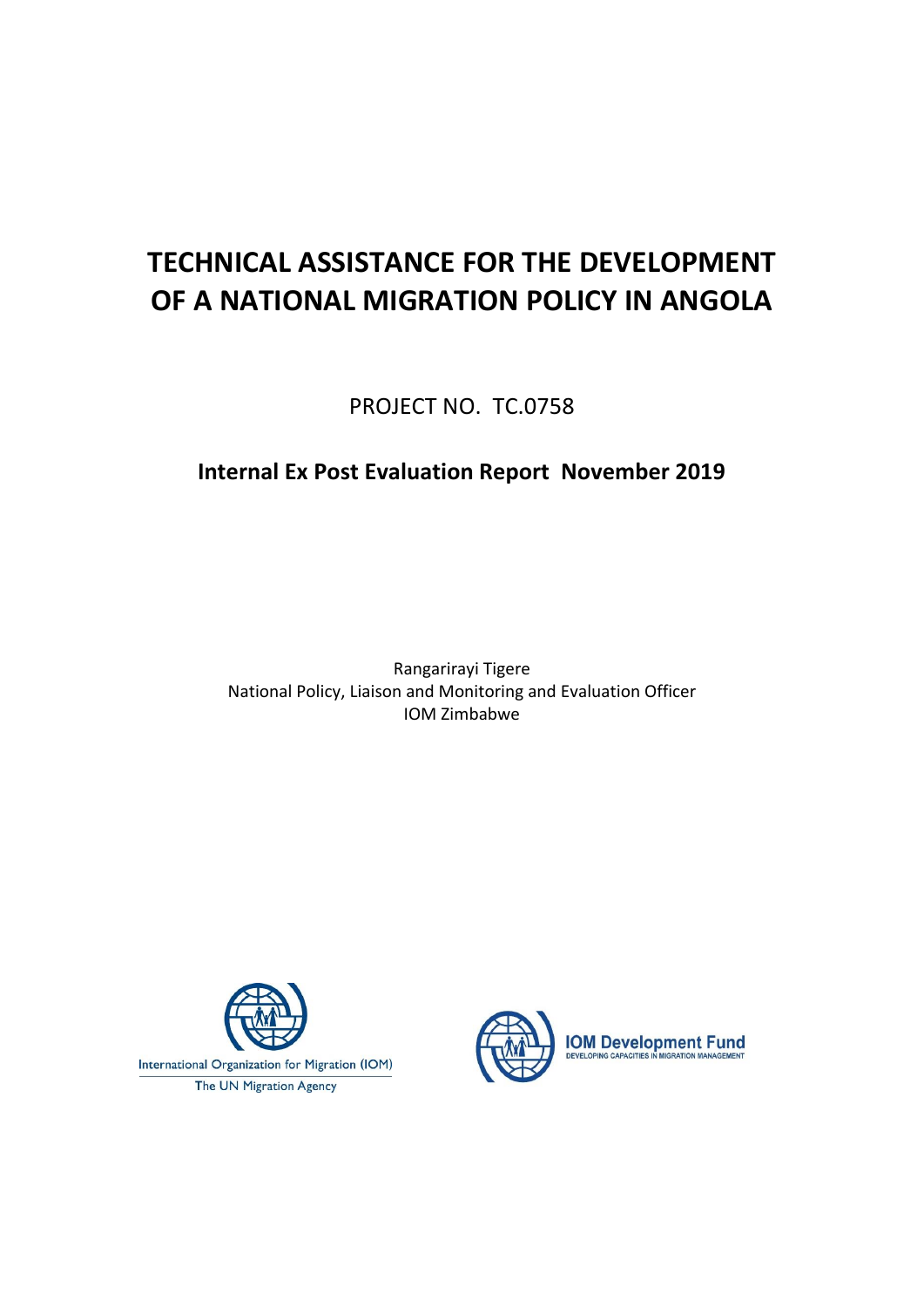# **TECHNICAL ASSISTANCE FOR THE DEVELOPMENT OF A NATIONAL MIGRATION POLICY IN ANGOLA**

PROJECT NO. TC.0758

## **Internal Ex Post Evaluation Report November 2019**

Rangarirayi Tigere National Policy, Liaison and Monitoring and Evaluation Officer IOM Zimbabwe



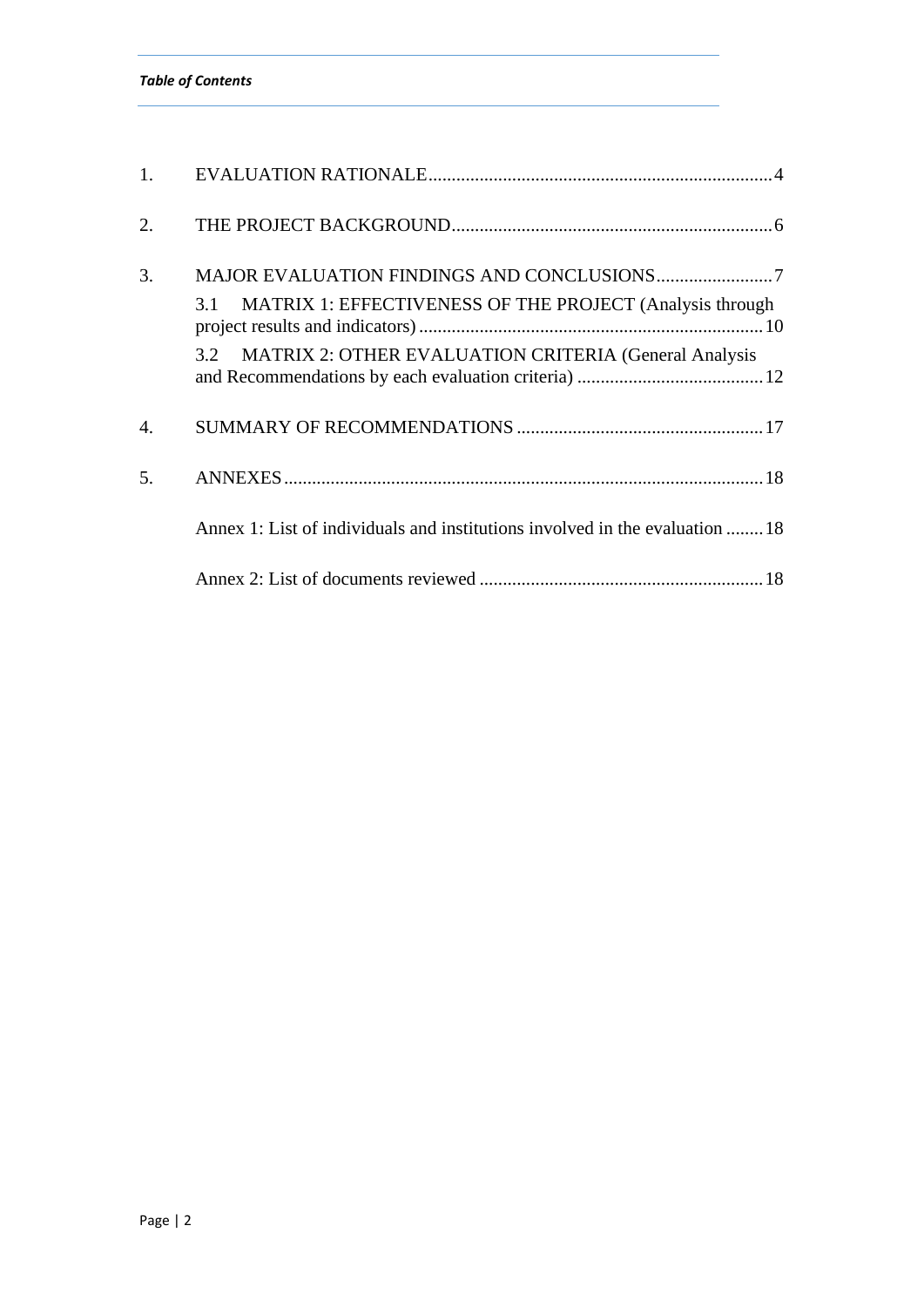|  | <b>Table of Contents</b> |
|--|--------------------------|
|--|--------------------------|

| 1.                    |                                                                                                                                        |
|-----------------------|----------------------------------------------------------------------------------------------------------------------------------------|
| 2.                    |                                                                                                                                        |
| 3.                    | MATRIX 1: EFFECTIVENESS OF THE PROJECT (Analysis through<br>3.1<br><b>MATRIX 2: OTHER EVALUATION CRITERIA (General Analysis</b><br>3.2 |
| $\mathcal{A}_{\cdot}$ |                                                                                                                                        |
| 5.                    |                                                                                                                                        |
|                       | Annex 1: List of individuals and institutions involved in the evaluation  18                                                           |
|                       |                                                                                                                                        |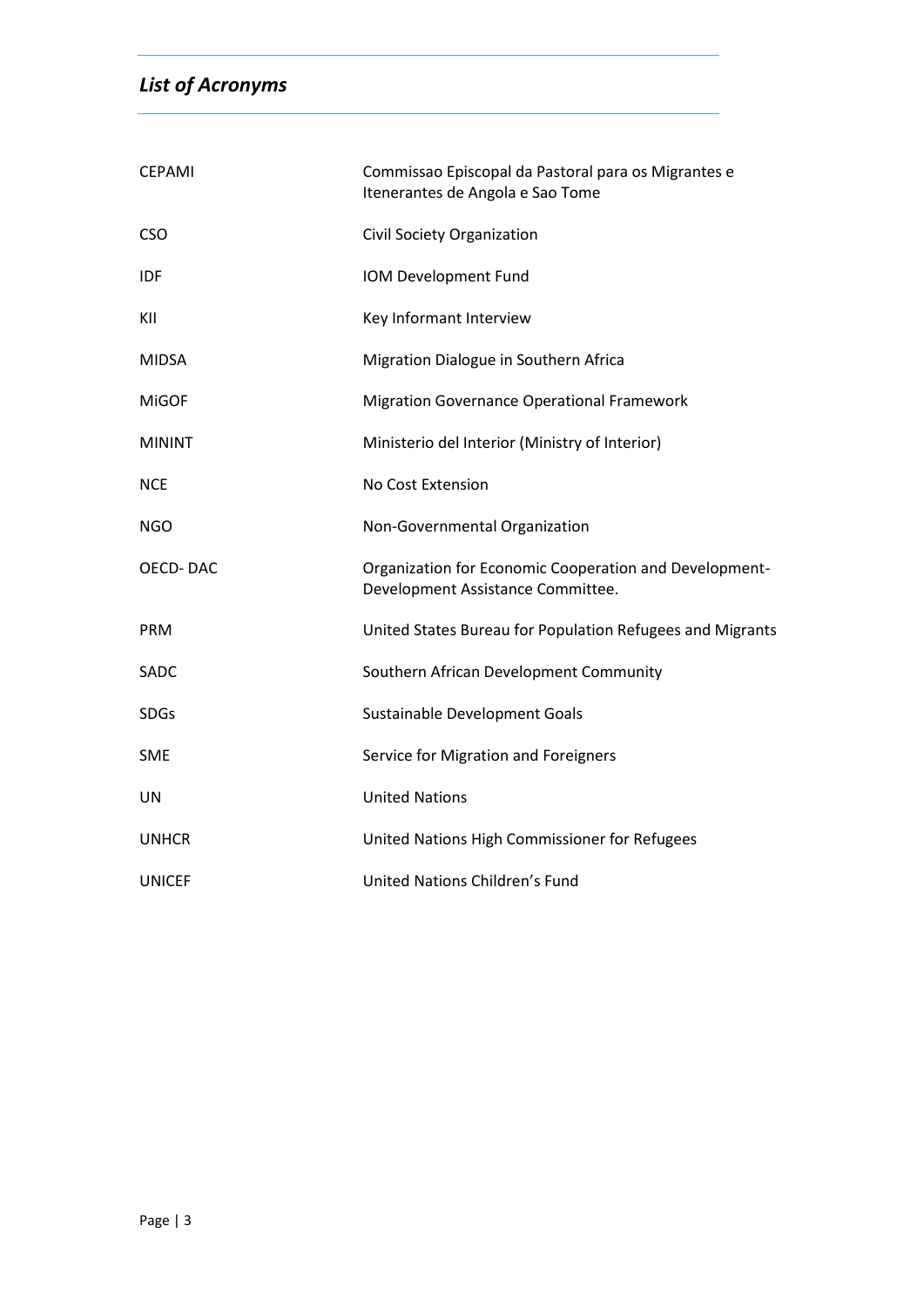## *List of Acronyms*

| <b>CEPAMI</b>   | Commissao Episcopal da Pastoral para os Migrantes e<br>Itenerantes de Angola e Sao Tome     |
|-----------------|---------------------------------------------------------------------------------------------|
| <b>CSO</b>      | Civil Society Organization                                                                  |
| <b>IDF</b>      | IOM Development Fund                                                                        |
| KII             | Key Informant Interview                                                                     |
| <b>MIDSA</b>    | Migration Dialogue in Southern Africa                                                       |
| <b>MiGOF</b>    | <b>Migration Governance Operational Framework</b>                                           |
| <b>MININT</b>   | Ministerio del Interior (Ministry of Interior)                                              |
| <b>NCE</b>      | No Cost Extension                                                                           |
| <b>NGO</b>      | Non-Governmental Organization                                                               |
| <b>OECD-DAC</b> | Organization for Economic Cooperation and Development-<br>Development Assistance Committee. |
| <b>PRM</b>      | United States Bureau for Population Refugees and Migrants                                   |
| SADC            | Southern African Development Community                                                      |
| <b>SDGs</b>     | Sustainable Development Goals                                                               |
| <b>SME</b>      | Service for Migration and Foreigners                                                        |
| UN              | <b>United Nations</b>                                                                       |
| <b>UNHCR</b>    | United Nations High Commissioner for Refugees                                               |
| <b>UNICEF</b>   | United Nations Children's Fund                                                              |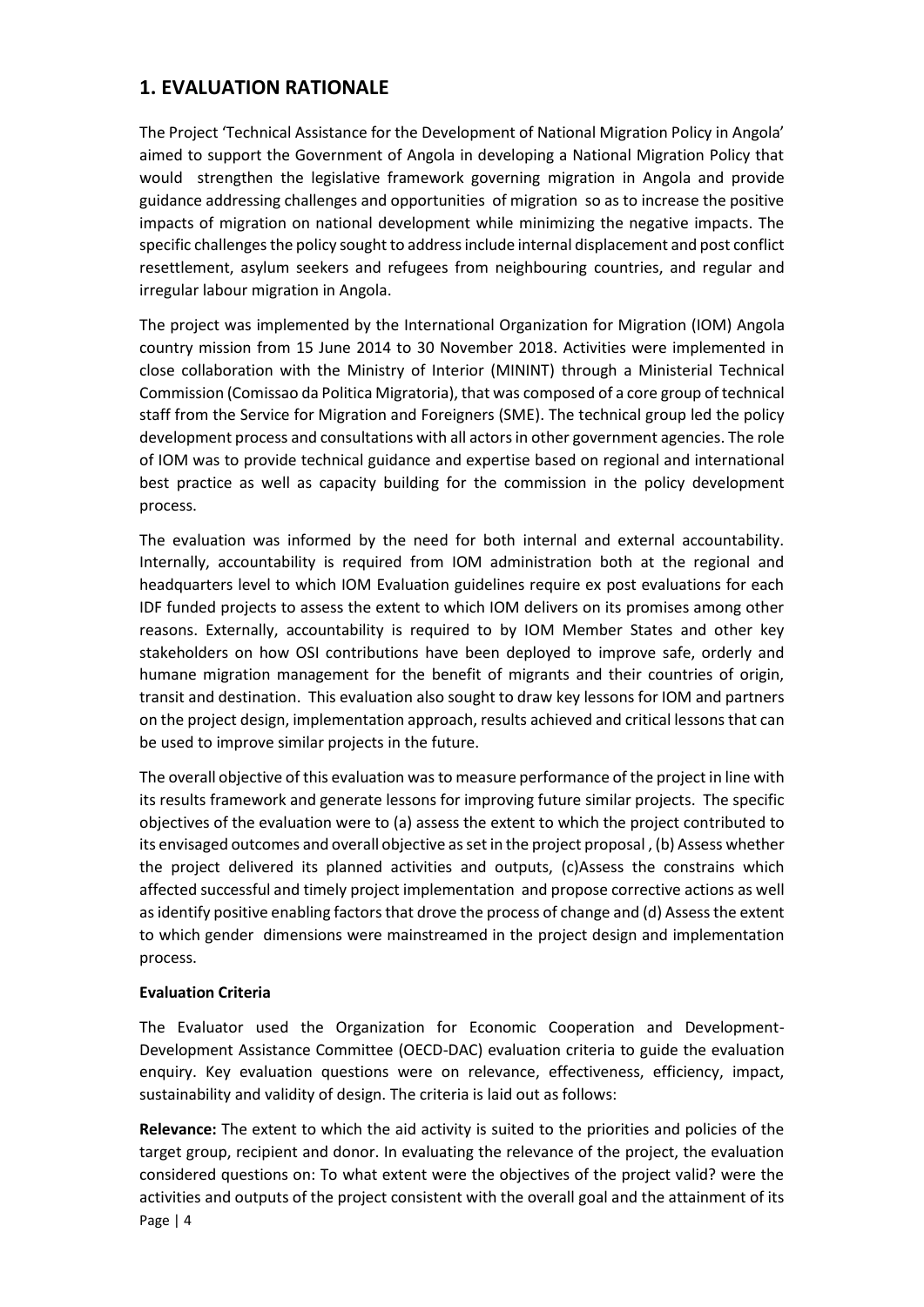## <span id="page-3-0"></span>**1. EVALUATION RATIONALE**

The Project 'Technical Assistance for the Development of National Migration Policy in Angola' aimed to support the Government of Angola in developing a National Migration Policy that would strengthen the legislative framework governing migration in Angola and provide guidance addressing challenges and opportunities of migration so as to increase the positive impacts of migration on national development while minimizing the negative impacts. The specific challenges the policy sought to address include internal displacement and post conflict resettlement, asylum seekers and refugees from neighbouring countries, and regular and irregular labour migration in Angola.

The project was implemented by the International Organization for Migration (IOM) Angola country mission from 15 June 2014 to 30 November 2018. Activities were implemented in close collaboration with the Ministry of Interior (MININT) through a Ministerial Technical Commission (Comissao da Politica Migratoria), that was composed of a core group of technical staff from the Service for Migration and Foreigners (SME). The technical group led the policy development process and consultations with all actors in other government agencies. The role of IOM was to provide technical guidance and expertise based on regional and international best practice as well as capacity building for the commission in the policy development process.

The evaluation was informed by the need for both internal and external accountability. Internally, accountability is required from IOM administration both at the regional and headquarters level to which IOM Evaluation guidelines require ex post evaluations for each IDF funded projects to assess the extent to which IOM delivers on its promises among other reasons. Externally, accountability is required to by IOM Member States and other key stakeholders on how OSI contributions have been deployed to improve safe, orderly and humane migration management for the benefit of migrants and their countries of origin, transit and destination. This evaluation also sought to draw key lessons for IOM and partners on the project design, implementation approach, results achieved and critical lessons that can be used to improve similar projects in the future.

The overall objective of this evaluation was to measure performance of the project in line with its results framework and generate lessons for improving future similar projects. The specific objectives of the evaluation were to (a) assess the extent to which the project contributed to its envisaged outcomes and overall objective as set in the project proposal , (b) Assess whether the project delivered its planned activities and outputs, (c)Assess the constrains which affected successful and timely project implementation and propose corrective actions as well as identify positive enabling factors that drove the process of change and (d) Assess the extent to which gender dimensions were mainstreamed in the project design and implementation process.

#### **Evaluation Criteria**

The Evaluator used the Organization for Economic Cooperation and Development-Development Assistance Committee (OECD-DAC) evaluation criteria to guide the evaluation enquiry. Key evaluation questions were on relevance, effectiveness, efficiency, impact, sustainability and validity of design. The criteria is laid out as follows:

Page | 4 **Relevance:** The extent to which the aid activity is suited to the priorities and policies of the target group, recipient and donor. In evaluating the relevance of the project, the evaluation considered questions on: To what extent were the objectives of the project valid? were the activities and outputs of the project consistent with the overall goal and the attainment of its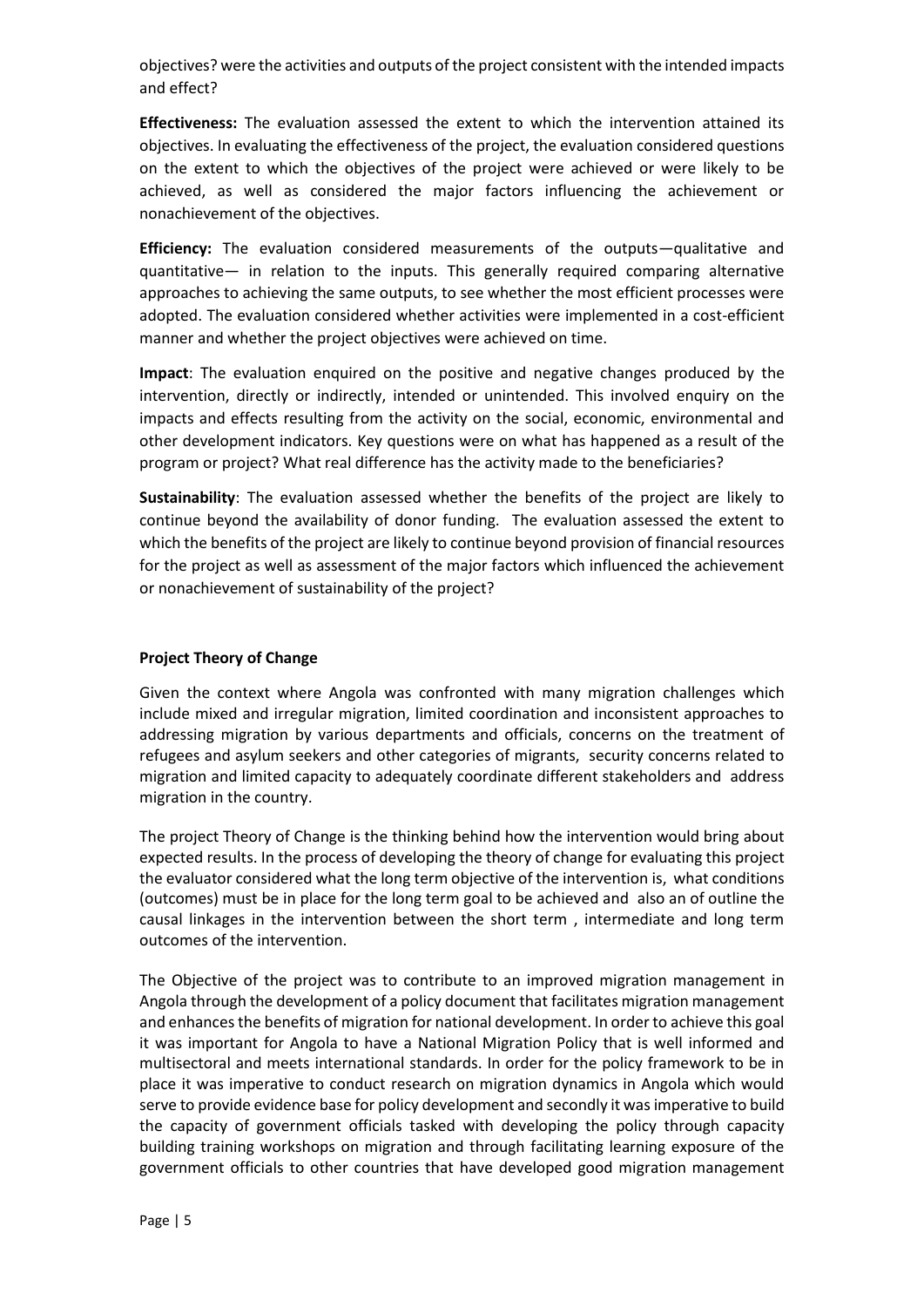objectives? were the activities and outputs of the project consistent with the intended impacts and effect?

**Effectiveness:** The evaluation assessed the extent to which the intervention attained its objectives. In evaluating the effectiveness of the project, the evaluation considered questions on the extent to which the objectives of the project were achieved or were likely to be achieved, as well as considered the major factors influencing the achievement or nonachievement of the objectives.

**Efficiency:** The evaluation considered measurements of the outputs—qualitative and quantitative— in relation to the inputs. This generally required comparing alternative approaches to achieving the same outputs, to see whether the most efficient processes were adopted. The evaluation considered whether activities were implemented in a cost-efficient manner and whether the project objectives were achieved on time.

**Impact**: The evaluation enquired on the positive and negative changes produced by the intervention, directly or indirectly, intended or unintended. This involved enquiry on the impacts and effects resulting from the activity on the social, economic, environmental and other development indicators. Key questions were on what has happened as a result of the program or project? What real difference has the activity made to the beneficiaries?

**Sustainability**: The evaluation assessed whether the benefits of the project are likely to continue beyond the availability of donor funding. The evaluation assessed the extent to which the benefits of the project are likely to continue beyond provision of financial resources for the project as well as assessment of the major factors which influenced the achievement or nonachievement of sustainability of the project?

#### **Project Theory of Change**

Given the context where Angola was confronted with many migration challenges which include mixed and irregular migration, limited coordination and inconsistent approaches to addressing migration by various departments and officials, concerns on the treatment of refugees and asylum seekers and other categories of migrants, security concerns related to migration and limited capacity to adequately coordinate different stakeholders and address migration in the country.

The project Theory of Change is the thinking behind how the intervention would bring about expected results. In the process of developing the theory of change for evaluating this project the evaluator considered what the long term objective of the intervention is, what conditions (outcomes) must be in place for the long term goal to be achieved and also an of outline the causal linkages in the intervention between the short term , intermediate and long term outcomes of the intervention.

The Objective of the project was to contribute to an improved migration management in Angola through the development of a policy document that facilitates migration management and enhances the benefits of migration for national development. In order to achieve this goal it was important for Angola to have a National Migration Policy that is well informed and multisectoral and meets international standards. In order for the policy framework to be in place it was imperative to conduct research on migration dynamics in Angola which would serve to provide evidence base for policy development and secondly it was imperative to build the capacity of government officials tasked with developing the policy through capacity building training workshops on migration and through facilitating learning exposure of the government officials to other countries that have developed good migration management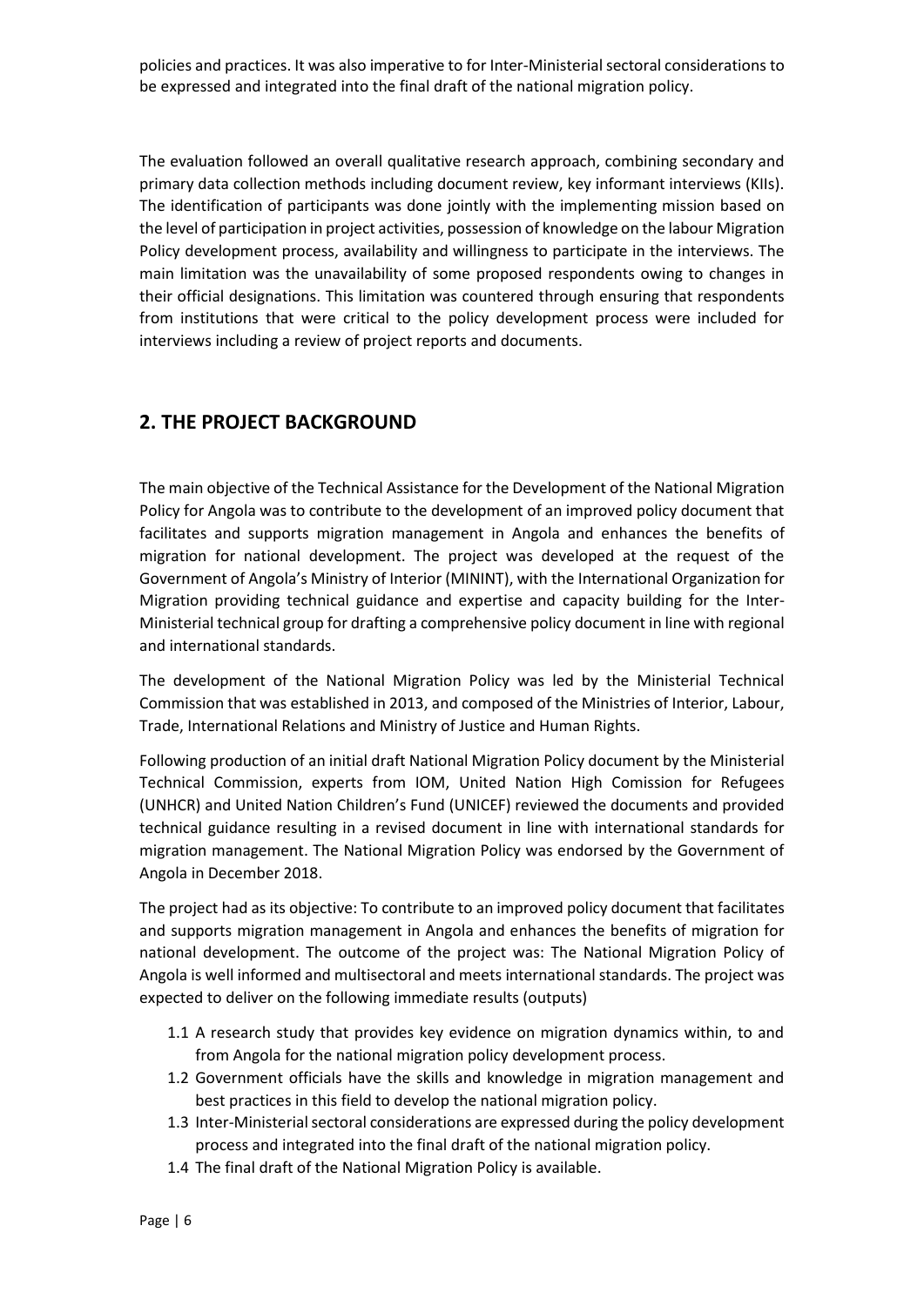policies and practices. It was also imperative to for Inter-Ministerial sectoral considerations to be expressed and integrated into the final draft of the national migration policy.

The evaluation followed an overall qualitative research approach, combining secondary and primary data collection methods including document review, key informant interviews (KIIs). The identification of participants was done jointly with the implementing mission based on the level of participation in project activities, possession of knowledge on the labour Migration Policy development process, availability and willingness to participate in the interviews. The main limitation was the unavailability of some proposed respondents owing to changes in their official designations. This limitation was countered through ensuring that respondents from institutions that were critical to the policy development process were included for interviews including a review of project reports and documents.

## <span id="page-5-0"></span>**2. THE PROJECT BACKGROUND**

The main objective of the Technical Assistance for the Development of the National Migration Policy for Angola was to contribute to the development of an improved policy document that facilitates and supports migration management in Angola and enhances the benefits of migration for national development. The project was developed at the request of the Government of Angola's Ministry of Interior (MININT), with the International Organization for Migration providing technical guidance and expertise and capacity building for the Inter-Ministerial technical group for drafting a comprehensive policy document in line with regional and international standards.

The development of the National Migration Policy was led by the Ministerial Technical Commission that was established in 2013, and composed of the Ministries of Interior, Labour, Trade, International Relations and Ministry of Justice and Human Rights.

Following production of an initial draft National Migration Policy document by the Ministerial Technical Commission, experts from IOM, United Nation High Comission for Refugees (UNHCR) and United Nation Children's Fund (UNICEF) reviewed the documents and provided technical guidance resulting in a revised document in line with international standards for migration management. The National Migration Policy was endorsed by the Government of Angola in December 2018.

The project had as its objective: To contribute to an improved policy document that facilitates and supports migration management in Angola and enhances the benefits of migration for national development. The outcome of the project was: The National Migration Policy of Angola is well informed and multisectoral and meets international standards. The project was expected to deliver on the following immediate results (outputs)

- 1.1 A research study that provides key evidence on migration dynamics within, to and from Angola for the national migration policy development process.
- 1.2 Government officials have the skills and knowledge in migration management and best practices in this field to develop the national migration policy.
- 1.3 Inter-Ministerial sectoral considerations are expressed during the policy development process and integrated into the final draft of the national migration policy.
- 1.4 The final draft of the National Migration Policy is available.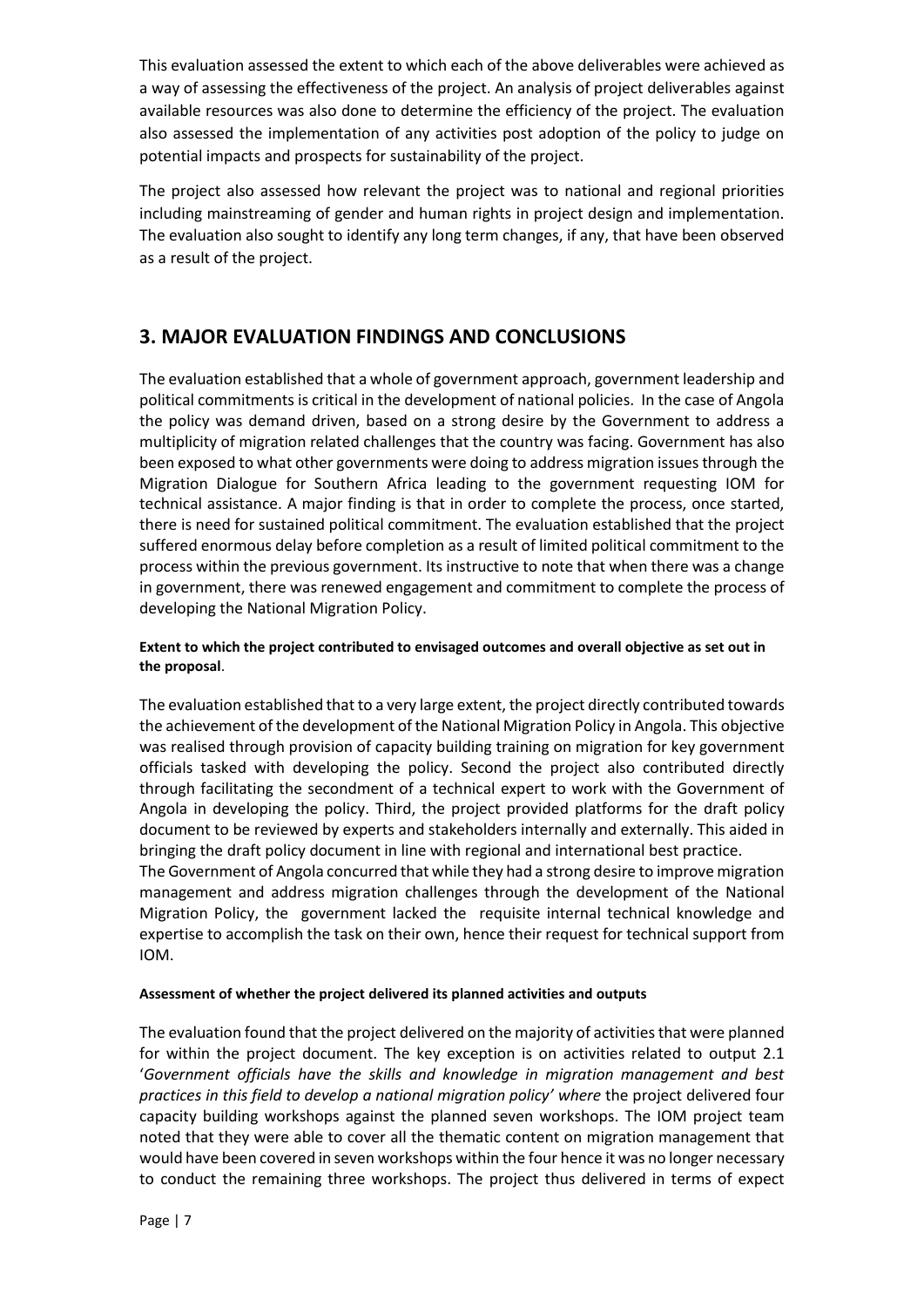This evaluation assessed the extent to which each of the above deliverables were achieved as a way of assessing the effectiveness of the project. An analysis of project deliverables against available resources was also done to determine the efficiency of the project. The evaluation also assessed the implementation of any activities post adoption of the policy to judge on potential impacts and prospects for sustainability of the project.

The project also assessed how relevant the project was to national and regional priorities including mainstreaming of gender and human rights in project design and implementation. The evaluation also sought to identify any long term changes, if any, that have been observed as a result of the project.

## <span id="page-6-0"></span>**3. MAJOR EVALUATION FINDINGS AND CONCLUSIONS**

The evaluation established that a whole of government approach, government leadership and political commitments is critical in the development of national policies. In the case of Angola the policy was demand driven, based on a strong desire by the Government to address a multiplicity of migration related challenges that the country was facing. Government has also been exposed to what other governments were doing to address migration issues through the Migration Dialogue for Southern Africa leading to the government requesting IOM for technical assistance. A major finding is that in order to complete the process, once started, there is need for sustained political commitment. The evaluation established that the project suffered enormous delay before completion as a result of limited political commitment to the process within the previous government. Its instructive to note that when there was a change in government, there was renewed engagement and commitment to complete the process of developing the National Migration Policy.

#### **Extent to which the project contributed to envisaged outcomes and overall objective as set out in the proposal**.

The evaluation established that to a very large extent, the project directly contributed towards the achievement of the development of the National Migration Policy in Angola. This objective was realised through provision of capacity building training on migration for key government officials tasked with developing the policy. Second the project also contributed directly through facilitating the secondment of a technical expert to work with the Government of Angola in developing the policy. Third, the project provided platforms for the draft policy document to be reviewed by experts and stakeholders internally and externally. This aided in bringing the draft policy document in line with regional and international best practice.

The Government of Angola concurred that while they had a strong desire to improve migration management and address migration challenges through the development of the National Migration Policy, the government lacked the requisite internal technical knowledge and expertise to accomplish the task on their own, hence their request for technical support from IOM.

#### **Assessment of whether the project delivered its planned activities and outputs**

The evaluation found that the project delivered on the majority of activities that were planned for within the project document. The key exception is on activities related to output 2.1 '*Government officials have the skills and knowledge in migration management and best practices in this field to develop a national migration policy' where* the project delivered four capacity building workshops against the planned seven workshops. The IOM project team noted that they were able to cover all the thematic content on migration management that would have been covered in seven workshops within the four hence it was no longer necessary to conduct the remaining three workshops. The project thus delivered in terms of expect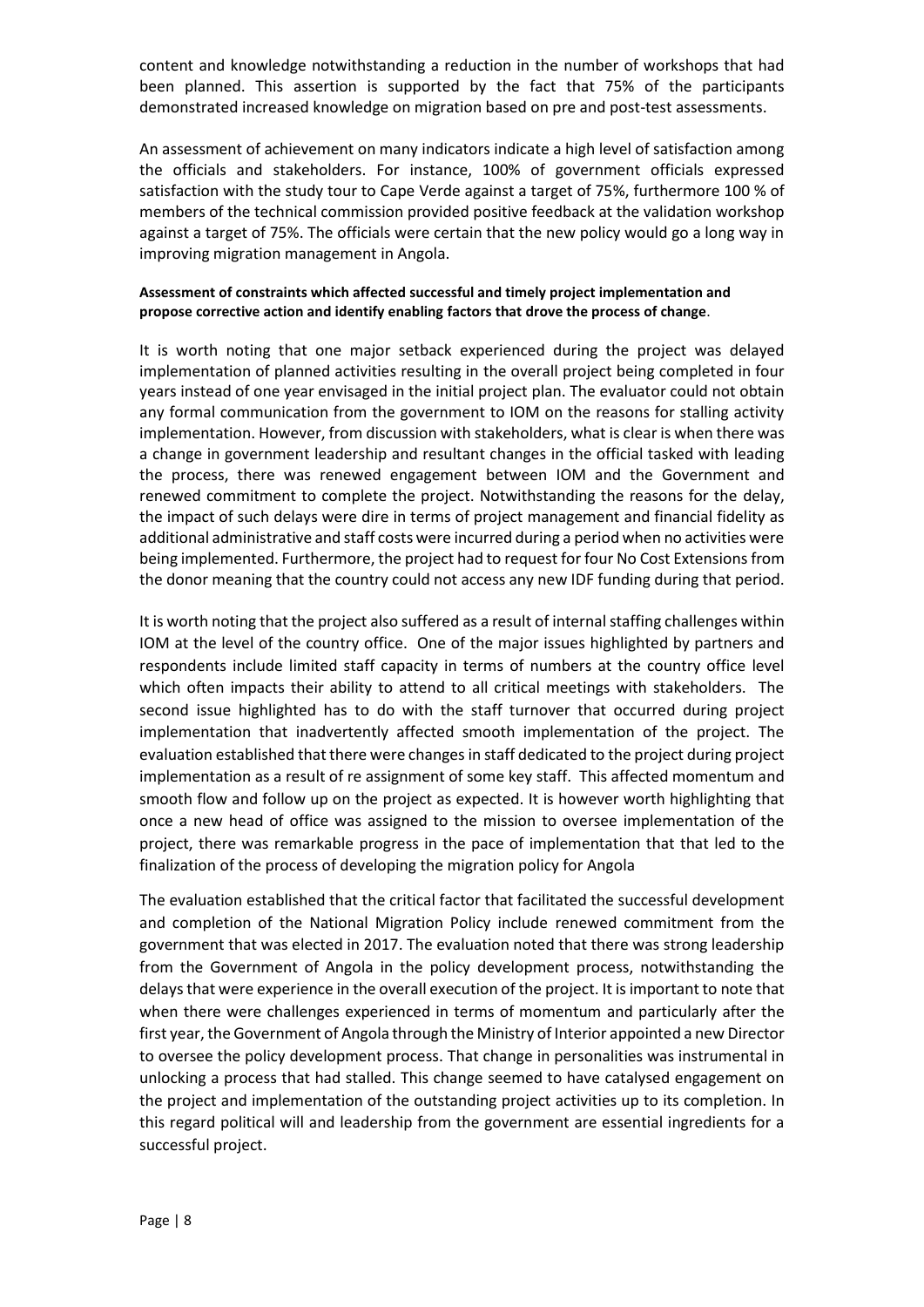content and knowledge notwithstanding a reduction in the number of workshops that had been planned. This assertion is supported by the fact that 75% of the participants demonstrated increased knowledge on migration based on pre and post-test assessments.

An assessment of achievement on many indicators indicate a high level of satisfaction among the officials and stakeholders. For instance, 100% of government officials expressed satisfaction with the study tour to Cape Verde against a target of 75%, furthermore 100 % of members of the technical commission provided positive feedback at the validation workshop against a target of 75%. The officials were certain that the new policy would go a long way in improving migration management in Angola.

#### **Assessment of constraints which affected successful and timely project implementation and propose corrective action and identify enabling factors that drove the process of change**.

It is worth noting that one major setback experienced during the project was delayed implementation of planned activities resulting in the overall project being completed in four years instead of one year envisaged in the initial project plan. The evaluator could not obtain any formal communication from the government to IOM on the reasons for stalling activity implementation. However, from discussion with stakeholders, what is clear is when there was a change in government leadership and resultant changes in the official tasked with leading the process, there was renewed engagement between IOM and the Government and renewed commitment to complete the project. Notwithstanding the reasons for the delay, the impact of such delays were dire in terms of project management and financial fidelity as additional administrative and staff costs were incurred during a period when no activities were being implemented. Furthermore, the project had to request for four No Cost Extensionsfrom the donor meaning that the country could not access any new IDF funding during that period.

It is worth noting that the project also suffered as a result of internal staffing challenges within IOM at the level of the country office. One of the major issues highlighted by partners and respondents include limited staff capacity in terms of numbers at the country office level which often impacts their ability to attend to all critical meetings with stakeholders. The second issue highlighted has to do with the staff turnover that occurred during project implementation that inadvertently affected smooth implementation of the project. The evaluation established that there were changes in staff dedicated to the project during project implementation as a result of re assignment of some key staff. This affected momentum and smooth flow and follow up on the project as expected. It is however worth highlighting that once a new head of office was assigned to the mission to oversee implementation of the project, there was remarkable progress in the pace of implementation that that led to the finalization of the process of developing the migration policy for Angola

The evaluation established that the critical factor that facilitated the successful development and completion of the National Migration Policy include renewed commitment from the government that was elected in 2017. The evaluation noted that there was strong leadership from the Government of Angola in the policy development process, notwithstanding the delays that were experience in the overall execution of the project. It is important to note that when there were challenges experienced in terms of momentum and particularly after the first year, the Government of Angola through the Ministry of Interior appointed a new Director to oversee the policy development process. That change in personalities was instrumental in unlocking a process that had stalled. This change seemed to have catalysed engagement on the project and implementation of the outstanding project activities up to its completion. In this regard political will and leadership from the government are essential ingredients for a successful project.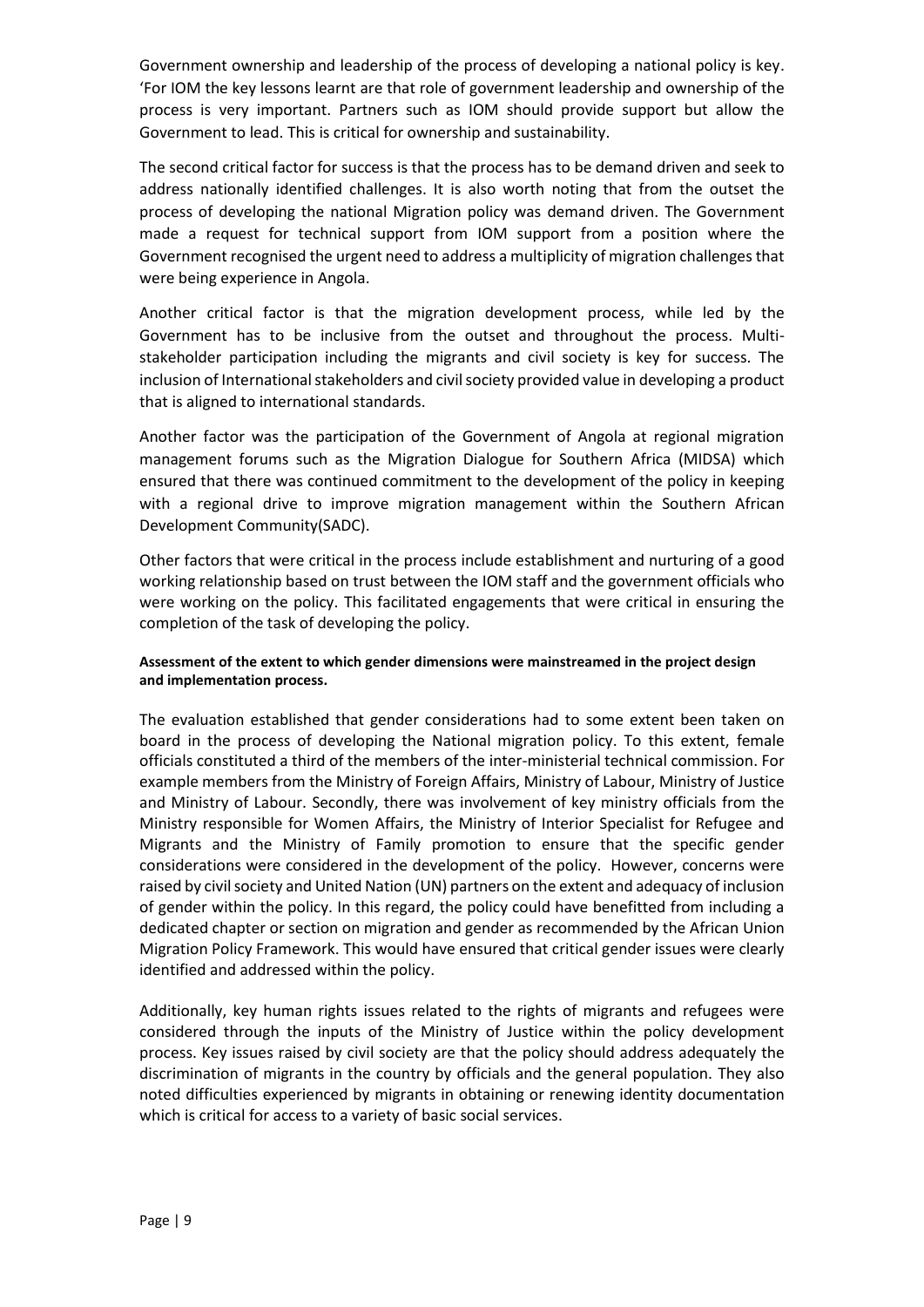Government ownership and leadership of the process of developing a national policy is key. 'For IOM the key lessons learnt are that role of government leadership and ownership of the process is very important. Partners such as IOM should provide support but allow the Government to lead. This is critical for ownership and sustainability.

The second critical factor for success is that the process has to be demand driven and seek to address nationally identified challenges. It is also worth noting that from the outset the process of developing the national Migration policy was demand driven. The Government made a request for technical support from IOM support from a position where the Government recognised the urgent need to address a multiplicity of migration challenges that were being experience in Angola.

Another critical factor is that the migration development process, while led by the Government has to be inclusive from the outset and throughout the process. Multistakeholder participation including the migrants and civil society is key for success. The inclusion of International stakeholders and civil society provided value in developing a product that is aligned to international standards.

Another factor was the participation of the Government of Angola at regional migration management forums such as the Migration Dialogue for Southern Africa (MIDSA) which ensured that there was continued commitment to the development of the policy in keeping with a regional drive to improve migration management within the Southern African Development Community(SADC).

Other factors that were critical in the process include establishment and nurturing of a good working relationship based on trust between the IOM staff and the government officials who were working on the policy. This facilitated engagements that were critical in ensuring the completion of the task of developing the policy.

#### **Assessment of the extent to which gender dimensions were mainstreamed in the project design and implementation process.**

The evaluation established that gender considerations had to some extent been taken on board in the process of developing the National migration policy. To this extent, female officials constituted a third of the members of the inter-ministerial technical commission. For example members from the Ministry of Foreign Affairs, Ministry of Labour, Ministry of Justice and Ministry of Labour. Secondly, there was involvement of key ministry officials from the Ministry responsible for Women Affairs, the Ministry of Interior Specialist for Refugee and Migrants and the Ministry of Family promotion to ensure that the specific gender considerations were considered in the development of the policy. However, concerns were raised by civil society and United Nation (UN) partners on the extent and adequacy of inclusion of gender within the policy. In this regard, the policy could have benefitted from including a dedicated chapter or section on migration and gender as recommended by the African Union Migration Policy Framework. This would have ensured that critical gender issues were clearly identified and addressed within the policy.

Additionally, key human rights issues related to the rights of migrants and refugees were considered through the inputs of the Ministry of Justice within the policy development process. Key issues raised by civil society are that the policy should address adequately the discrimination of migrants in the country by officials and the general population. They also noted difficulties experienced by migrants in obtaining or renewing identity documentation which is critical for access to a variety of basic social services.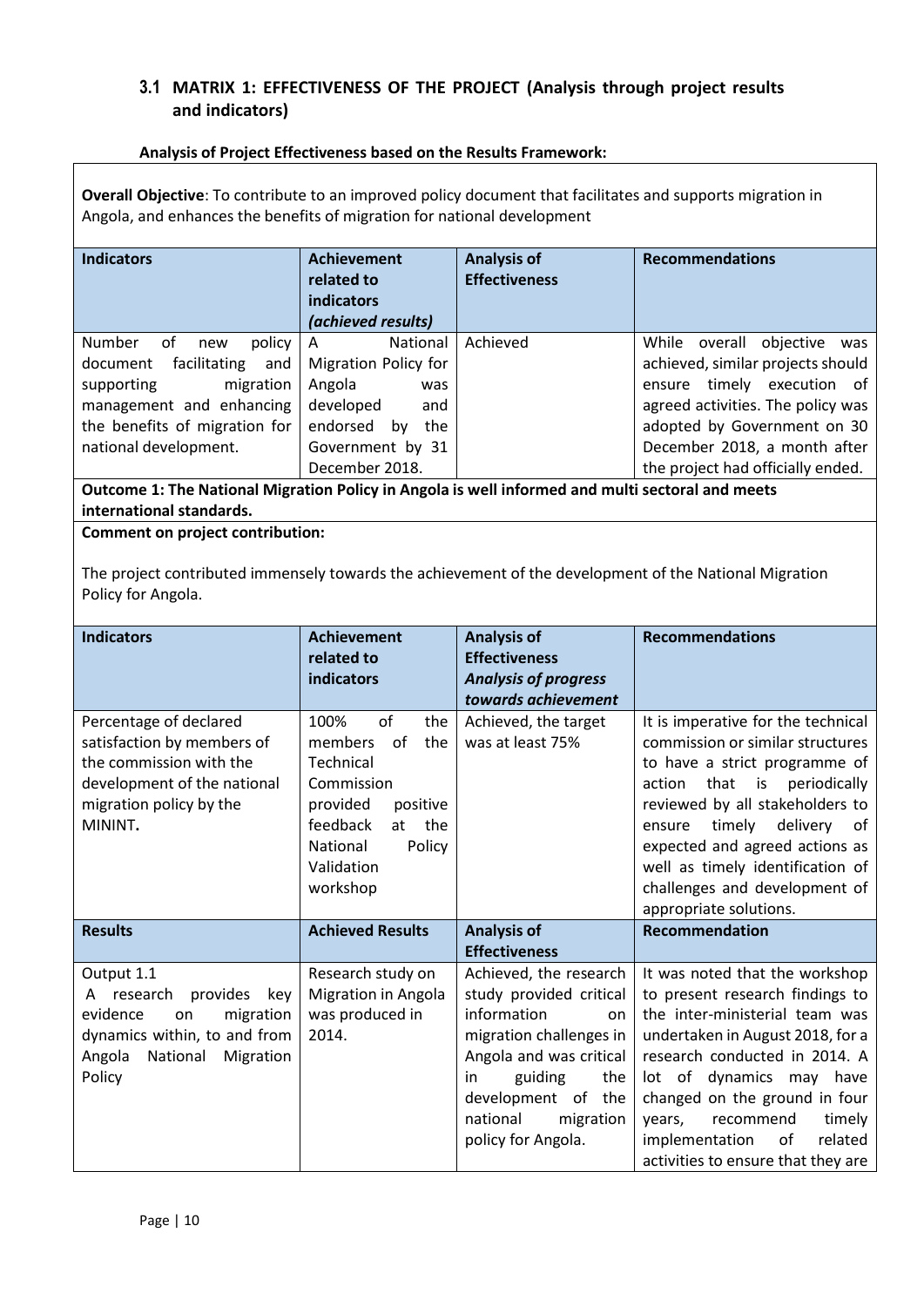### <span id="page-9-0"></span>**3.1 MATRIX 1: EFFECTIVENESS OF THE PROJECT (Analysis through project results and indicators)**

#### **Analysis of Project Effectiveness based on the Results Framework:**

**Overall Objective**: To contribute to an improved policy document that facilitates and supports migration in Angola, and enhances the benefits of migration for national development

| <b>Indicators</b>                                                                                                                                                                        | <b>Achievement</b><br>related to<br><b>indicators</b><br>(achieved results)                                                      | <b>Analysis of</b><br><b>Effectiveness</b> | <b>Recommendations</b>                                                                                                                                                                                   |
|------------------------------------------------------------------------------------------------------------------------------------------------------------------------------------------|----------------------------------------------------------------------------------------------------------------------------------|--------------------------------------------|----------------------------------------------------------------------------------------------------------------------------------------------------------------------------------------------------------|
| <b>Number</b><br>policy<br>0f<br>new<br>document<br>facilitating<br>and<br>migration<br>supporting<br>management and enhancing<br>the benefits of migration for<br>national development. | <b>National</b><br>l A<br>Migration Policy for<br>Angola<br>was<br>developed<br>and<br>endorsed<br>the<br>by<br>Government by 31 | Achieved                                   | While overall objective<br>was<br>achieved, similar projects should<br>ensure timely execution<br>0f<br>agreed activities. The policy was<br>adopted by Government on 30<br>December 2018, a month after |
|                                                                                                                                                                                          | December 2018.                                                                                                                   |                                            | the project had officially ended.                                                                                                                                                                        |

**Outcome 1: The National Migration Policy in Angola is well informed and multi sectoral and meets international standards.**

#### **Comment on project contribution:**

The project contributed immensely towards the achievement of the development of the National Migration Policy for Angola.

| <b>Indicators</b>                                                                                                                                          | <b>Achievement</b><br>related to<br>indicators                                                                                                                     | <b>Analysis of</b><br><b>Effectiveness</b><br><b>Analysis of progress</b><br>towards achievement                                                                                                                          | <b>Recommendations</b>                                                                                                                                                                                                                                                                                                                                    |
|------------------------------------------------------------------------------------------------------------------------------------------------------------|--------------------------------------------------------------------------------------------------------------------------------------------------------------------|---------------------------------------------------------------------------------------------------------------------------------------------------------------------------------------------------------------------------|-----------------------------------------------------------------------------------------------------------------------------------------------------------------------------------------------------------------------------------------------------------------------------------------------------------------------------------------------------------|
| Percentage of declared<br>satisfaction by members of<br>the commission with the<br>development of the national<br>migration policy by the<br>MININT.       | of<br>100%<br>the<br>members<br>of<br>the<br>Technical<br>Commission<br>provided<br>positive<br>feedback<br>at the<br>National<br>Policy<br>Validation<br>workshop | Achieved, the target<br>was at least 75%                                                                                                                                                                                  | It is imperative for the technical<br>commission or similar structures<br>to have a strict programme of<br>that<br>is<br>periodically<br>action<br>reviewed by all stakeholders to<br>timely<br>delivery<br>ensure<br>of<br>expected and agreed actions as<br>well as timely identification of<br>challenges and development of<br>appropriate solutions. |
| <b>Results</b>                                                                                                                                             | <b>Achieved Results</b>                                                                                                                                            | <b>Analysis of</b><br><b>Effectiveness</b>                                                                                                                                                                                | Recommendation                                                                                                                                                                                                                                                                                                                                            |
| Output 1.1<br>provides<br>research<br>key<br>A<br>evidence<br>migration<br>on<br>dynamics within, to and from<br>Angola<br>National<br>Migration<br>Policy | Research study on<br>Migration in Angola<br>was produced in<br>2014.                                                                                               | Achieved, the research<br>study provided critical<br>information<br>on<br>migration challenges in<br>Angola and was critical<br>guiding<br>the<br>in<br>development of the<br>national<br>migration<br>policy for Angola. | It was noted that the workshop<br>to present research findings to<br>the inter-ministerial team was<br>undertaken in August 2018, for a<br>research conducted in 2014. A<br>lot of dynamics may have<br>changed on the ground in four<br>recommend<br>timely<br>years,<br>implementation<br>of<br>related<br>activities to ensure that they are           |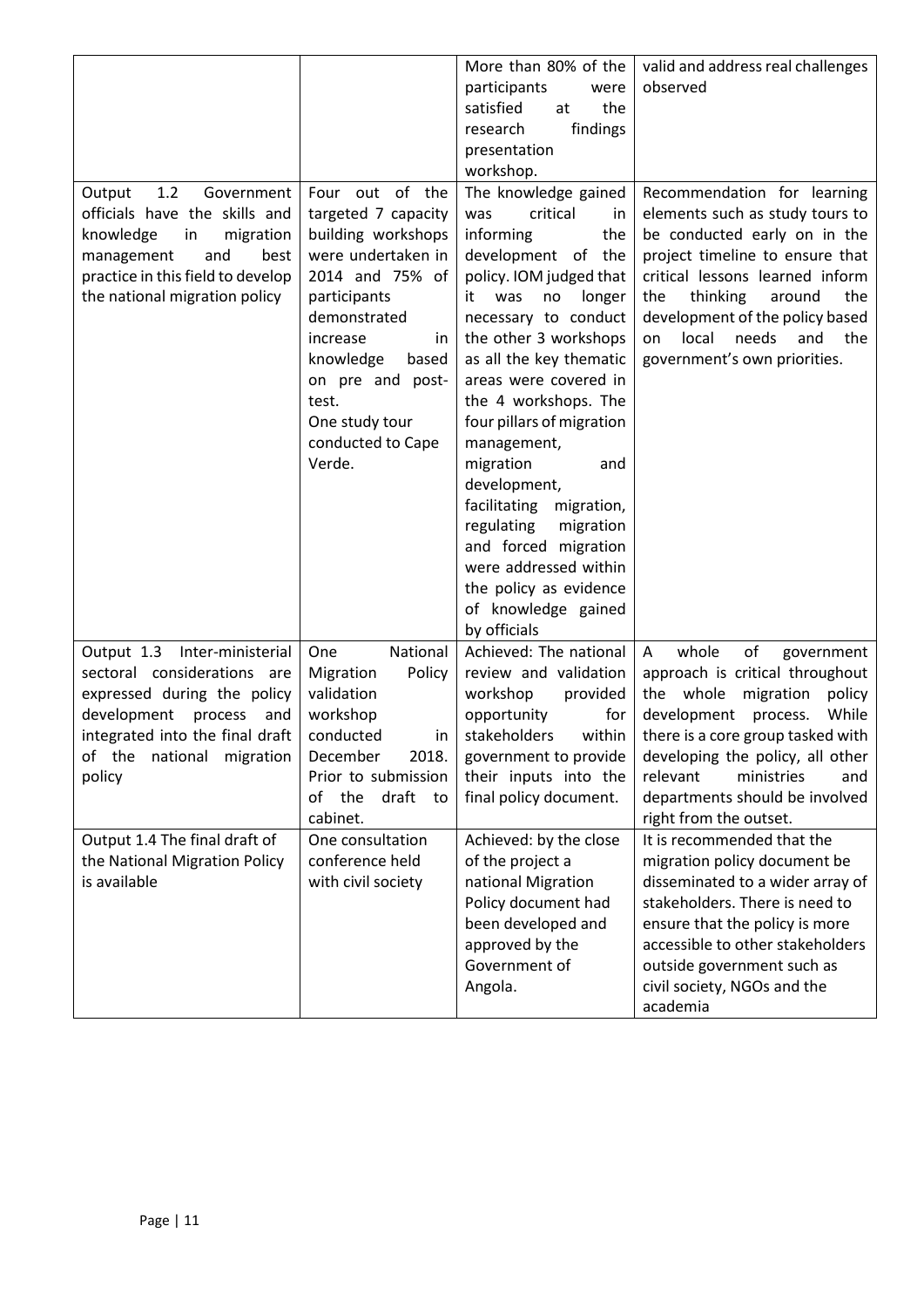<span id="page-10-0"></span>

|                                               |                              | More than 80% of the       | valid and address real challenges                                |
|-----------------------------------------------|------------------------------|----------------------------|------------------------------------------------------------------|
|                                               |                              | participants<br>were       | observed                                                         |
|                                               |                              | satisfied<br>the<br>at     |                                                                  |
|                                               |                              | findings<br>research       |                                                                  |
|                                               |                              | presentation               |                                                                  |
|                                               |                              | workshop.                  |                                                                  |
| 1.2<br>Government<br>Output                   | Four out of the              | The knowledge gained       | Recommendation for learning                                      |
| officials have the skills and                 | targeted 7 capacity          | critical<br>was<br>in      | elements such as study tours to                                  |
| knowledge<br>migration<br>in                  | building workshops           | informing<br>the           | be conducted early on in the                                     |
| management<br>and<br>best                     | were undertaken in           | development of the         | project timeline to ensure that                                  |
| practice in this field to develop             | 2014 and 75% of              | policy. IOM judged that    | critical lessons learned inform                                  |
| the national migration policy                 | participants                 | it was<br>no<br>longer     | thinking<br>the<br>around<br>the                                 |
|                                               | demonstrated                 | necessary to conduct       | development of the policy based                                  |
|                                               | increase<br>in               | the other 3 workshops      | local<br>needs<br>and<br>the<br>on                               |
|                                               | knowledge<br>based           | as all the key thematic    | government's own priorities.                                     |
|                                               | on pre and post-             | areas were covered in      |                                                                  |
|                                               | test.                        | the 4 workshops. The       |                                                                  |
|                                               | One study tour               | four pillars of migration  |                                                                  |
|                                               | conducted to Cape            | management,                |                                                                  |
|                                               | Verde.                       | migration<br>and           |                                                                  |
|                                               |                              | development,               |                                                                  |
|                                               |                              | facilitating<br>migration, |                                                                  |
|                                               |                              | regulating<br>migration    |                                                                  |
|                                               |                              | and forced migration       |                                                                  |
|                                               |                              | were addressed within      |                                                                  |
|                                               |                              | the policy as evidence     |                                                                  |
|                                               |                              | of knowledge gained        |                                                                  |
|                                               |                              | by officials               |                                                                  |
| Output 1.3 Inter-ministerial                  | National<br>One              | Achieved: The national     | whole<br>A<br>of<br>government                                   |
| sectoral considerations are                   | Policy<br>Migration          | review and validation      | approach is critical throughout                                  |
| expressed during the policy                   | validation                   | workshop<br>provided       | the whole<br>policy<br>migration                                 |
| development process<br>and                    | workshop                     | opportunity<br>for         | development process.<br>While                                    |
| integrated into the final draft               | conducted<br>in.             | stakeholders<br>within     | there is a core group tasked with                                |
| of the national migration                     | 2018.<br>December            | government to provide      | developing the policy, all other                                 |
|                                               | Prior to submission          | their inputs into the      | relevant<br>ministries<br>and                                    |
| policy                                        | draft to<br>the<br>οf        |                            |                                                                  |
|                                               |                              | final policy document.     | departments should be involved                                   |
| Output 1.4 The final draft of                 | cabinet.<br>One consultation | Achieved: by the close     | right from the outset.<br>It is recommended that the             |
|                                               | conference held              |                            |                                                                  |
| the National Migration Policy<br>is available |                              | of the project a           | migration policy document be<br>disseminated to a wider array of |
|                                               | with civil society           | national Migration         |                                                                  |
|                                               |                              | Policy document had        | stakeholders. There is need to                                   |
|                                               |                              | been developed and         | ensure that the policy is more                                   |
|                                               |                              | approved by the            | accessible to other stakeholders                                 |
|                                               |                              | Government of              | outside government such as                                       |
|                                               |                              | Angola.                    | civil society, NGOs and the                                      |
|                                               |                              |                            | academia                                                         |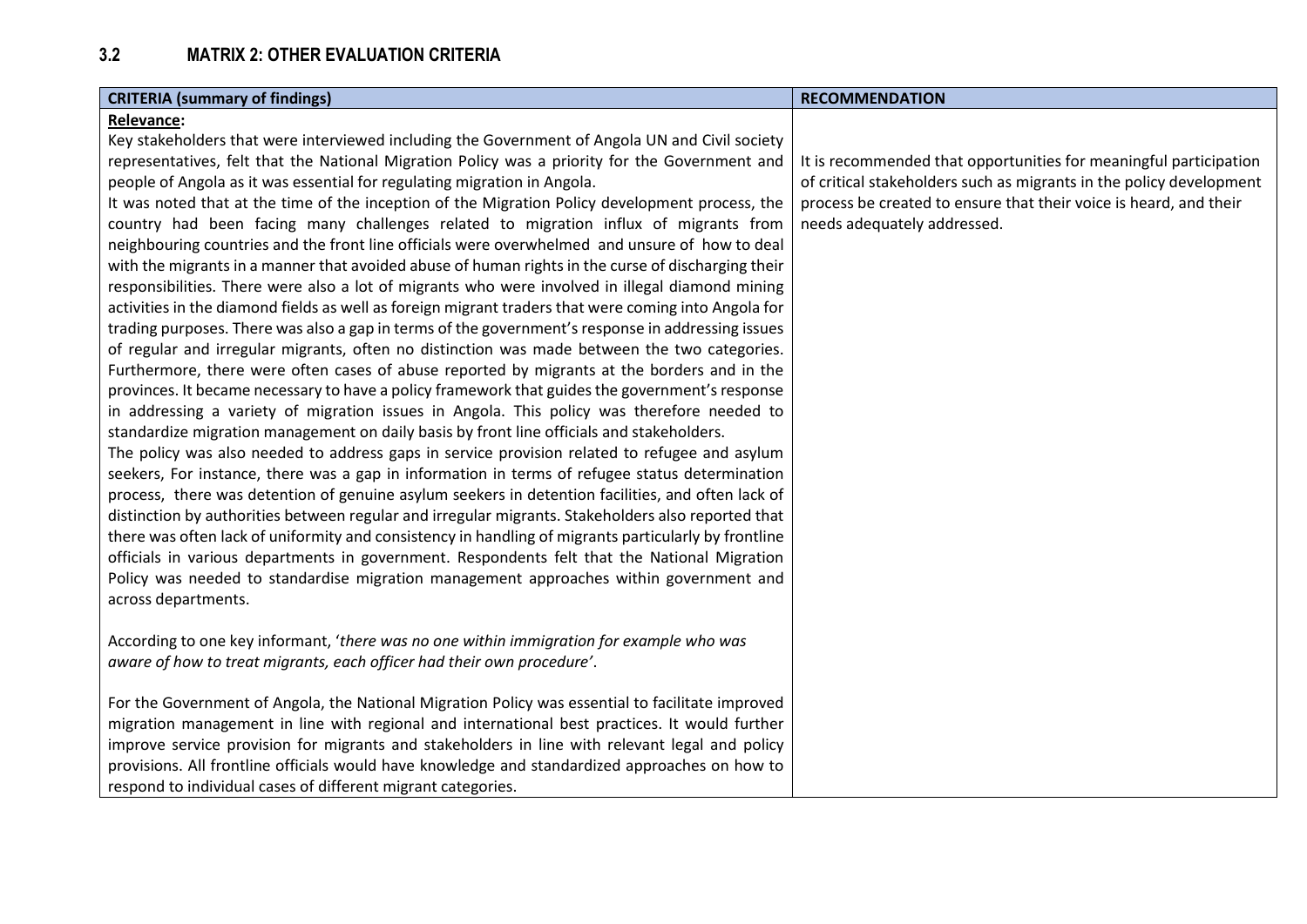| <b>CRITERIA (summary of findings)</b>                                                                                                                                                                                                                                                                                                                                                                                                                                                                                                                                                                                                                                                                                                                                                                                                                                                                                                                                                                                                                                                                                                                                                                                                                                                                                                                                                                                                                                                                                                                                                                                                                                                                                                                                                                                                                                                                                                                                                                                                                                                                                                   | <b>RECOMMENDATION</b>                                                                                                                                                                                                                        |
|-----------------------------------------------------------------------------------------------------------------------------------------------------------------------------------------------------------------------------------------------------------------------------------------------------------------------------------------------------------------------------------------------------------------------------------------------------------------------------------------------------------------------------------------------------------------------------------------------------------------------------------------------------------------------------------------------------------------------------------------------------------------------------------------------------------------------------------------------------------------------------------------------------------------------------------------------------------------------------------------------------------------------------------------------------------------------------------------------------------------------------------------------------------------------------------------------------------------------------------------------------------------------------------------------------------------------------------------------------------------------------------------------------------------------------------------------------------------------------------------------------------------------------------------------------------------------------------------------------------------------------------------------------------------------------------------------------------------------------------------------------------------------------------------------------------------------------------------------------------------------------------------------------------------------------------------------------------------------------------------------------------------------------------------------------------------------------------------------------------------------------------------|----------------------------------------------------------------------------------------------------------------------------------------------------------------------------------------------------------------------------------------------|
| <b>Relevance:</b><br>Key stakeholders that were interviewed including the Government of Angola UN and Civil society<br>representatives, felt that the National Migration Policy was a priority for the Government and<br>people of Angola as it was essential for regulating migration in Angola.<br>It was noted that at the time of the inception of the Migration Policy development process, the<br>country had been facing many challenges related to migration influx of migrants from<br>neighbouring countries and the front line officials were overwhelmed and unsure of how to deal<br>with the migrants in a manner that avoided abuse of human rights in the curse of discharging their<br>responsibilities. There were also a lot of migrants who were involved in illegal diamond mining<br>activities in the diamond fields as well as foreign migrant traders that were coming into Angola for<br>trading purposes. There was also a gap in terms of the government's response in addressing issues<br>of regular and irregular migrants, often no distinction was made between the two categories.<br>Furthermore, there were often cases of abuse reported by migrants at the borders and in the<br>provinces. It became necessary to have a policy framework that guides the government's response<br>in addressing a variety of migration issues in Angola. This policy was therefore needed to<br>standardize migration management on daily basis by front line officials and stakeholders.<br>The policy was also needed to address gaps in service provision related to refugee and asylum<br>seekers, For instance, there was a gap in information in terms of refugee status determination<br>process, there was detention of genuine asylum seekers in detention facilities, and often lack of<br>distinction by authorities between regular and irregular migrants. Stakeholders also reported that<br>there was often lack of uniformity and consistency in handling of migrants particularly by frontline<br>officials in various departments in government. Respondents felt that the National Migration | It is recommended that opportunities for meaningful participation<br>of critical stakeholders such as migrants in the policy development<br>process be created to ensure that their voice is heard, and their<br>needs adequately addressed. |
| Policy was needed to standardise migration management approaches within government and<br>across departments.<br>According to one key informant, 'there was no one within immigration for example who was<br>aware of how to treat migrants, each officer had their own procedure'.<br>For the Government of Angola, the National Migration Policy was essential to facilitate improved<br>migration management in line with regional and international best practices. It would further<br>improve service provision for migrants and stakeholders in line with relevant legal and policy<br>provisions. All frontline officials would have knowledge and standardized approaches on how to<br>respond to individual cases of different migrant categories.                                                                                                                                                                                                                                                                                                                                                                                                                                                                                                                                                                                                                                                                                                                                                                                                                                                                                                                                                                                                                                                                                                                                                                                                                                                                                                                                                                            |                                                                                                                                                                                                                                              |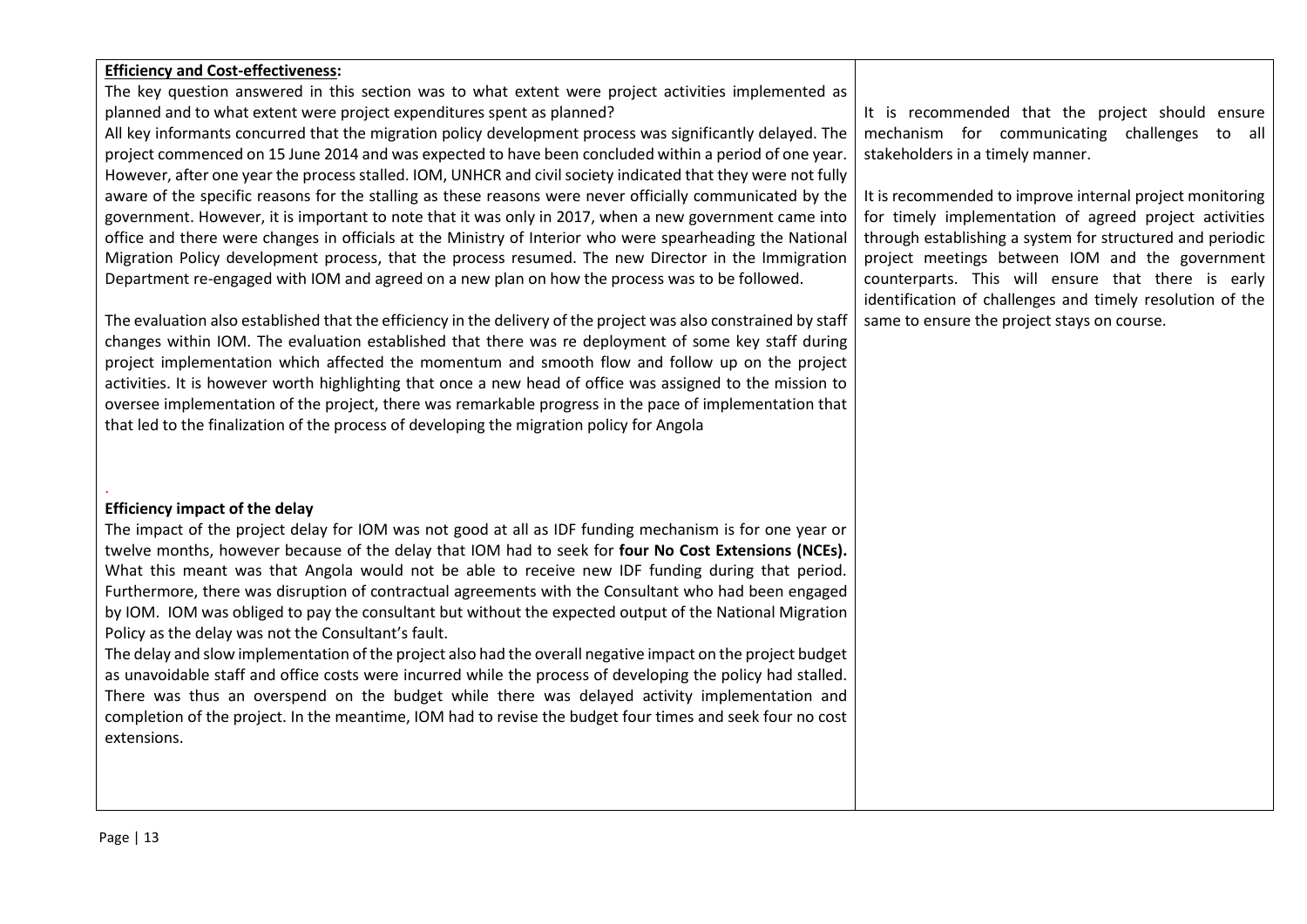#### **Efficiency and Cost-effectiveness:**  The key question answered in this section was to what extent were project activities implemented as planned and to what extent were project expenditures spent as planned? All key informants concurred that the migration policy development process was significantly delayed. The project commenced on 15 June 2014 and was expected to have been concluded within a period of one year. However, after one year the process stalled. IOM, UNHCR and civil society indicated that they were not fully aware of the specific reasons for the stalling as these reasons were never officially communicated by the government. However, it is important to note that it was only in 2017, when a new government came into office and there were changes in officials at the Ministry of Interior who were spearheading the National Migration Policy development process, that the process resumed. The new Director in the Immigration Department re-engaged with IOM and agreed on a new plan on how the process was to be followed. The evaluation also established that the efficiency in the delivery of the project was also constrained by staff changes within IOM. The evaluation established that there was re deployment of some key staff during project implementation which affected the momentum and smooth flow and follow up on the project activities. It is however worth highlighting that once a new head of office was assigned to the mission to oversee implementation of the project, there was remarkable progress in the pace of implementation that that led to the finalization of the process of developing the migration policy for Angola It is recommended that the project should ensure mechanism for communicating challenges to all stakeholders in a timely manner. It is recommended to improve internal project monitoring for timely implementation of agreed project activities through establishing a system for structured and periodic project meetings between IOM and the government counterparts. This will ensure that there is early identification of challenges and timely resolution of the same to ensure the project stays on course.

#### **Efficiency impact of the delay**

.

The impact of the project delay for IOM was not good at all as IDF funding mechanism is for one year or twelve months, however because of the delay that IOM had to seek for **four No Cost Extensions (NCEs).**  What this meant was that Angola would not be able to receive new IDF funding during that period. Furthermore, there was disruption of contractual agreements with the Consultant who had been engaged by IOM. IOM was obliged to pay the consultant but without the expected output of the National Migration Policy as the delay was not the Consultant's fault.

The delay and slow implementation of the project also had the overall negative impact on the project budget as unavoidable staff and office costs were incurred while the process of developing the policy had stalled. There was thus an overspend on the budget while there was delayed activity implementation and completion of the project. In the meantime, IOM had to revise the budget four times and seek four no cost extensions.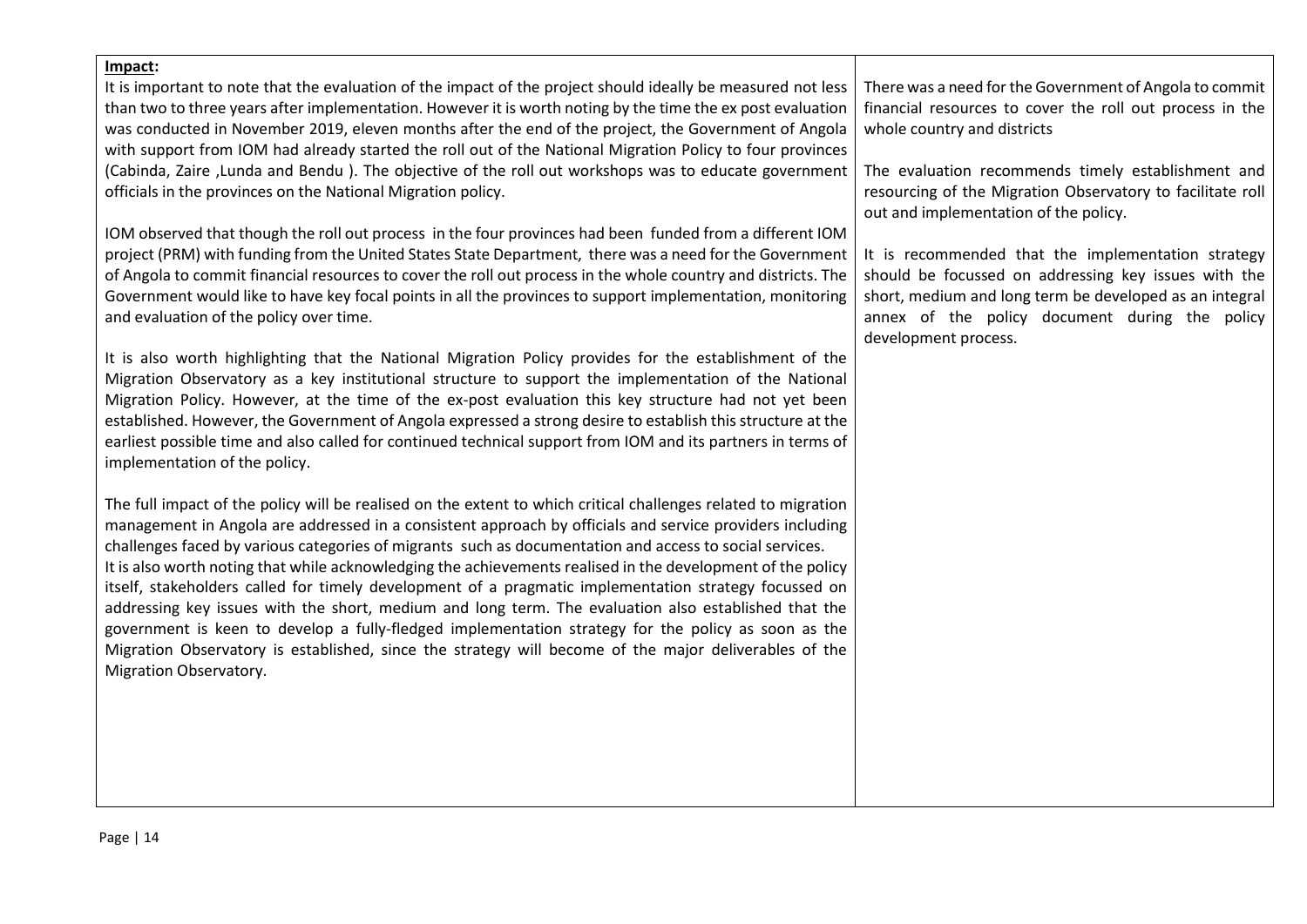## **Impact:**  It is important to note that the evaluation of the impact of the project should ideally be measured not less

than two to three years after implementation. However it is worth noting by the time the ex post evaluation was conducted in November 2019, eleven months after the end of the project, the Government of Angola with support from IOM had already started the roll out of the National Migration Policy to four provinces (Cabinda, Zaire ,Lunda and Bendu ). The objective of the roll out workshops was to educate government officials in the provinces on the National Migration policy.

IOM observed that though the roll out process in the four provinces had been funded from a different IOM project (PRM) with funding from the United States State Department, there was a need for the Government of Angola to commit financial resources to cover the roll out process in the whole country and districts. The Government would like to have key focal points in all the provinces to support implementation, monitoring and evaluation of the policy over time.

It is also worth highlighting that the National Migration Policy provides for the establishment of the Migration Observatory as a key institutional structure to support the implementation of the National Migration Policy. However, at the time of the ex-post evaluation this key structure had not yet been established. However, the Government of Angola expressed a strong desire to establish this structure at the earliest possible time and also called for continued technical support from IOM and its partners in terms of implementation of the policy.

The full impact of the policy will be realised on the extent to which critical challenges related to migration management in Angola are addressed in a consistent approach by officials and service providers including challenges faced by various categories of migrants such as documentation and access to social services. It is also worth noting that while acknowledging the achievements realised in the development of the policy itself, stakeholders called for timely development of a pragmatic implementation strategy focussed on addressing key issues with the short, medium and long term. The evaluation also established that the government is keen to develop a fully-fledged implementation strategy for the policy as soon as the Migration Observatory is established, since the strategy will become of the major deliverables of the Migration Observatory.

There was a need for the Government of Angola to commit financial resources to cover the roll out process in the whole country and districts

The evaluation recommends timely establishment and resourcing of the Migration Observatory to facilitate roll out and implementation of the policy.

It is recommended that the implementation strategy should be focussed on addressing key issues with the short, medium and long term be developed as an integral annex of the policy document during the policy development process.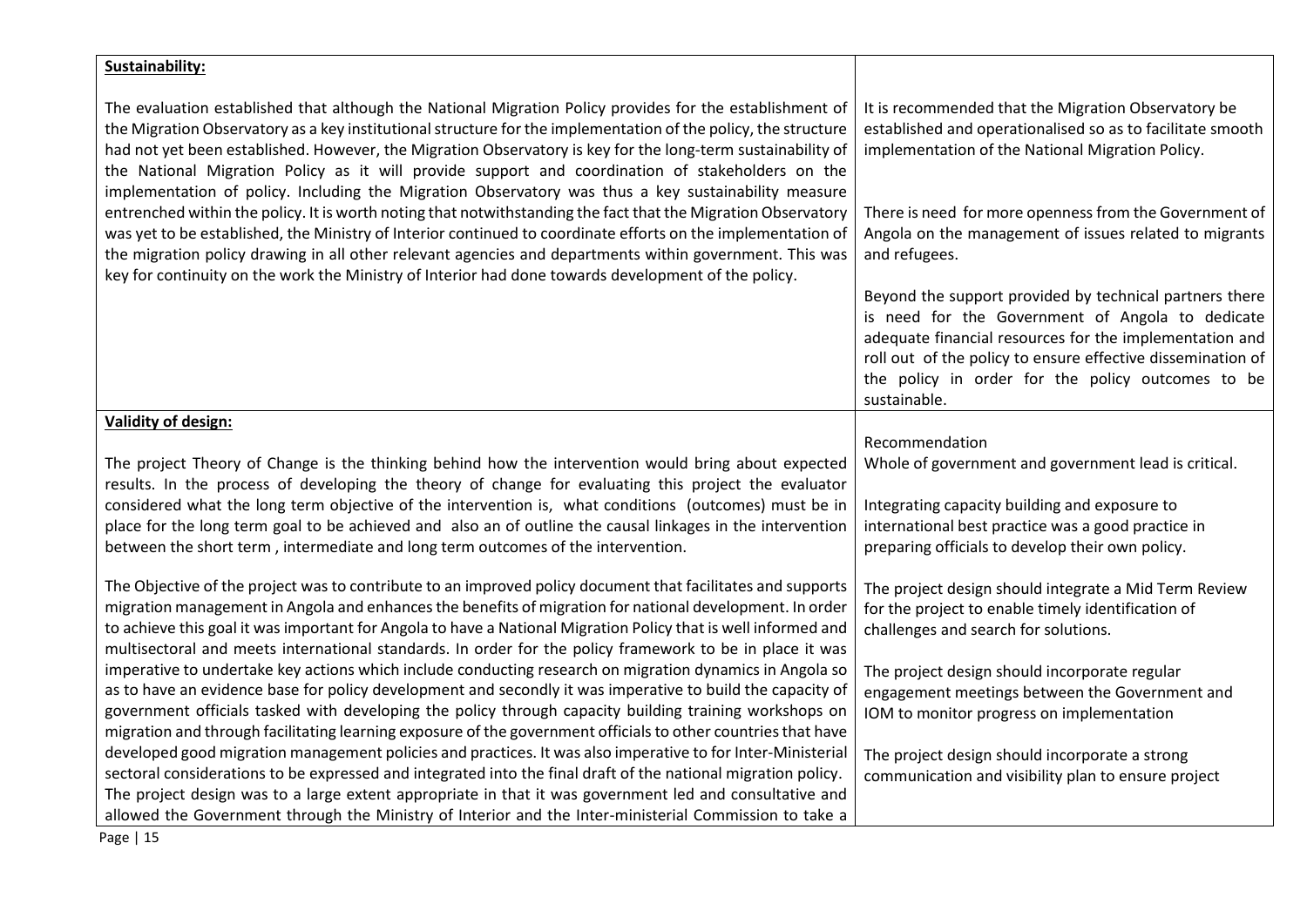| Sustainability:                                                                                                                                                                                                                                                                                                                                                                                                                                                                                                                                                                                                                                                       |                                                                                                                                                                                                                                                                                                            |
|-----------------------------------------------------------------------------------------------------------------------------------------------------------------------------------------------------------------------------------------------------------------------------------------------------------------------------------------------------------------------------------------------------------------------------------------------------------------------------------------------------------------------------------------------------------------------------------------------------------------------------------------------------------------------|------------------------------------------------------------------------------------------------------------------------------------------------------------------------------------------------------------------------------------------------------------------------------------------------------------|
| The evaluation established that although the National Migration Policy provides for the establishment of<br>the Migration Observatory as a key institutional structure for the implementation of the policy, the structure<br>had not yet been established. However, the Migration Observatory is key for the long-term sustainability of<br>the National Migration Policy as it will provide support and coordination of stakeholders on the<br>implementation of policy. Including the Migration Observatory was thus a key sustainability measure<br>entrenched within the policy. It is worth noting that notwithstanding the fact that the Migration Observatory | It is recommended that the Migration Observatory be<br>established and operationalised so as to facilitate smooth<br>implementation of the National Migration Policy.<br>There is need for more openness from the Government of                                                                            |
| was yet to be established, the Ministry of Interior continued to coordinate efforts on the implementation of<br>the migration policy drawing in all other relevant agencies and departments within government. This was<br>key for continuity on the work the Ministry of Interior had done towards development of the policy.                                                                                                                                                                                                                                                                                                                                        | Angola on the management of issues related to migrants<br>and refugees.                                                                                                                                                                                                                                    |
|                                                                                                                                                                                                                                                                                                                                                                                                                                                                                                                                                                                                                                                                       | Beyond the support provided by technical partners there<br>is need for the Government of Angola to dedicate<br>adequate financial resources for the implementation and<br>roll out of the policy to ensure effective dissemination of<br>the policy in order for the policy outcomes to be<br>sustainable. |
| <b>Validity of design:</b>                                                                                                                                                                                                                                                                                                                                                                                                                                                                                                                                                                                                                                            |                                                                                                                                                                                                                                                                                                            |
| The project Theory of Change is the thinking behind how the intervention would bring about expected<br>results. In the process of developing the theory of change for evaluating this project the evaluator<br>considered what the long term objective of the intervention is, what conditions (outcomes) must be in                                                                                                                                                                                                                                                                                                                                                  | Recommendation<br>Whole of government and government lead is critical.<br>Integrating capacity building and exposure to                                                                                                                                                                                    |
| place for the long term goal to be achieved and also an of outline the causal linkages in the intervention<br>between the short term, intermediate and long term outcomes of the intervention.                                                                                                                                                                                                                                                                                                                                                                                                                                                                        | international best practice was a good practice in<br>preparing officials to develop their own policy.                                                                                                                                                                                                     |
| The Objective of the project was to contribute to an improved policy document that facilitates and supports<br>migration management in Angola and enhances the benefits of migration for national development. In order<br>to achieve this goal it was important for Angola to have a National Migration Policy that is well informed and<br>multisectoral and meets international standards. In order for the policy framework to be in place it was                                                                                                                                                                                                                 | The project design should integrate a Mid Term Review<br>for the project to enable timely identification of<br>challenges and search for solutions.                                                                                                                                                        |
| imperative to undertake key actions which include conducting research on migration dynamics in Angola so<br>as to have an evidence base for policy development and secondly it was imperative to build the capacity of<br>government officials tasked with developing the policy through capacity building training workshops on                                                                                                                                                                                                                                                                                                                                      | The project design should incorporate regular<br>engagement meetings between the Government and<br>IOM to monitor progress on implementation                                                                                                                                                               |
| migration and through facilitating learning exposure of the government officials to other countries that have                                                                                                                                                                                                                                                                                                                                                                                                                                                                                                                                                         |                                                                                                                                                                                                                                                                                                            |
| developed good migration management policies and practices. It was also imperative to for Inter-Ministerial                                                                                                                                                                                                                                                                                                                                                                                                                                                                                                                                                           | The project design should incorporate a strong                                                                                                                                                                                                                                                             |
| sectoral considerations to be expressed and integrated into the final draft of the national migration policy.<br>The project design was to a large extent appropriate in that it was government led and consultative and                                                                                                                                                                                                                                                                                                                                                                                                                                              | communication and visibility plan to ensure project                                                                                                                                                                                                                                                        |
| allowed the Government through the Ministry of Interior and the Inter-ministerial Commission to take a                                                                                                                                                                                                                                                                                                                                                                                                                                                                                                                                                                |                                                                                                                                                                                                                                                                                                            |

Page | 15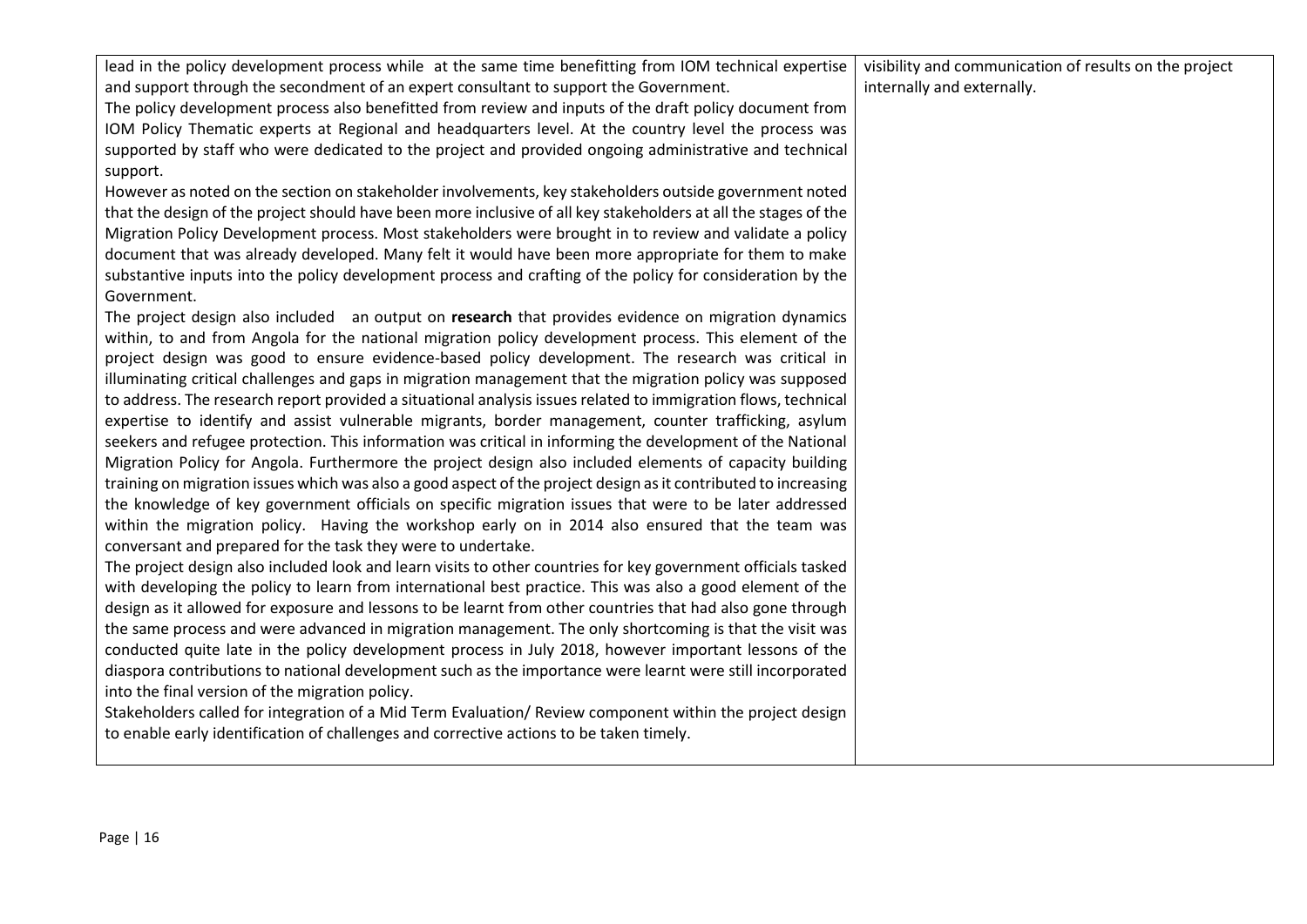lead in the policy development process while at the same time benefitting from IOM technical expertise and support through the secondment of an expert consultant to support the Government.

visibility and communication of results on the project internally and externally.

The policy development process also benefitted from review and inputs of the draft policy document from IOM Policy Thematic experts at Regional and headquarters level. At the country level the process was supported by staff who were dedicated to the project and provided ongoing administrative and technical support.

However as noted on the section on stakeholder involvements, key stakeholders outside government noted that the design of the project should have been more inclusive of all key stakeholders at all the stages of the Migration Policy Development process. Most stakeholders were brought in to review and validate a policy document that was already developed. Many felt it would have been more appropriate for them to make substantive inputs into the policy development process and crafting of the policy for consideration by the Government.

The project design also included an output on **research** that provides evidence on migration dynamics within, to and from Angola for the national migration policy development process. This element of the project design was good to ensure evidence-based policy development. The research was critical in illuminating critical challenges and gaps in migration management that the migration policy was supposed to address. The research report provided a situational analysis issues related to immigration flows, technical expertise to identify and assist vulnerable migrants, border management, counter trafficking, asylum seekers and refugee protection. This information was critical in informing the development of the National Migration Policy for Angola. Furthermore the project design also included elements of capacity building training on migration issues which was also a good aspect of the project design as it contributed to increasing the knowledge of key government officials on specific migration issues that were to be later addressed within the migration policy. Having the workshop early on in 2014 also ensured that the team was conversant and prepared for the task they were to undertake.

The project design also included look and learn visits to other countries for key government officials tasked with developing the policy to learn from international best practice. This was also a good element of the design as it allowed for exposure and lessons to be learnt from other countries that had also gone through the same process and were advanced in migration management. The only shortcoming is that the visit was conducted quite late in the policy development process in July 2018, however important lessons of the diaspora contributions to national development such as the importance were learnt were still incorporated into the final version of the migration policy.

<span id="page-15-0"></span>Stakeholders called for integration of a Mid Term Evaluation/ Review component within the project design to enable early identification of challenges and corrective actions to be taken timely.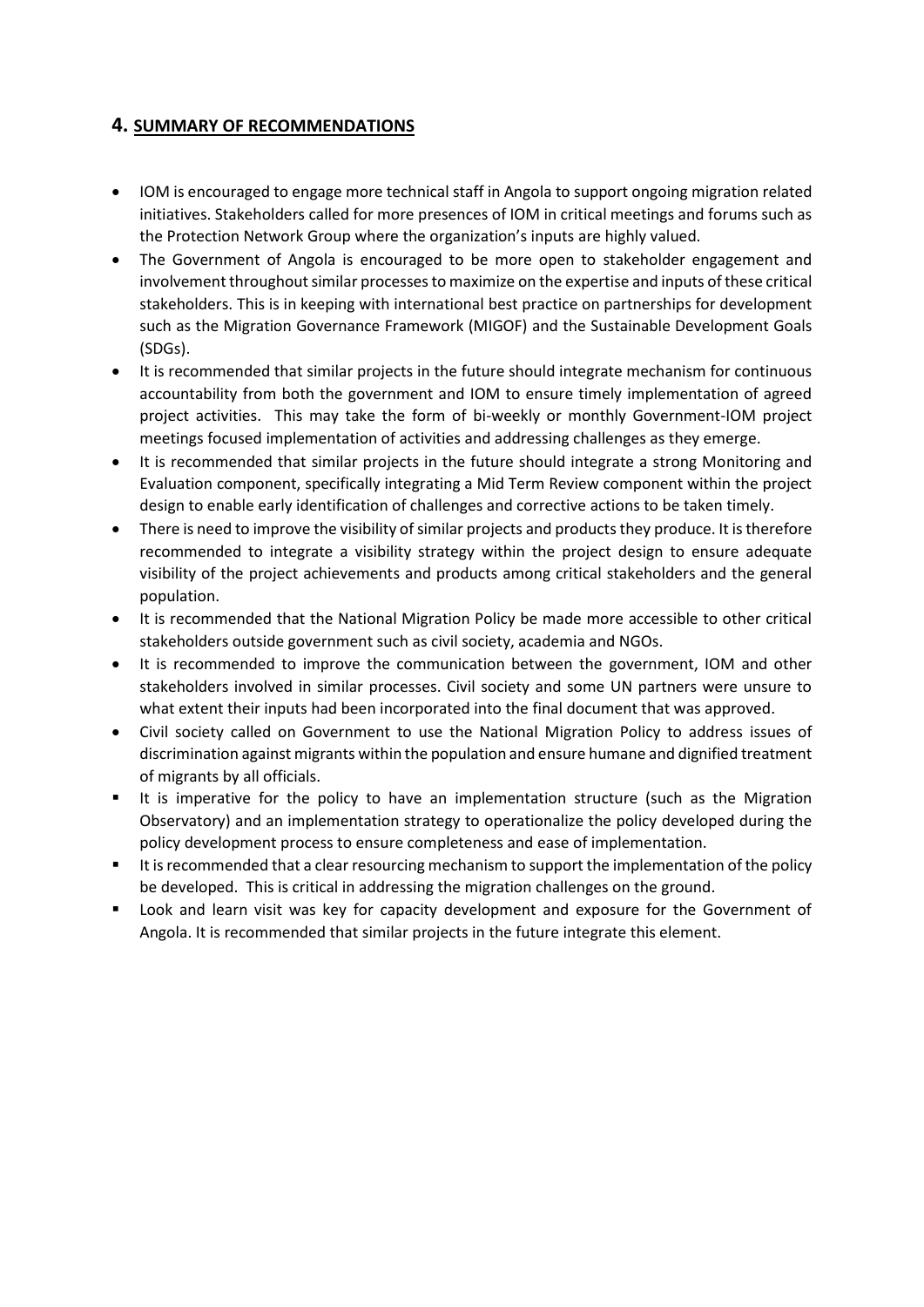### **4. SUMMARY OF RECOMMENDATIONS**

- IOM is encouraged to engage more technical staff in Angola to support ongoing migration related initiatives. Stakeholders called for more presences of IOM in critical meetings and forums such as the Protection Network Group where the organization's inputs are highly valued.
- The Government of Angola is encouraged to be more open to stakeholder engagement and involvement throughout similar processes to maximize on the expertise and inputs of these critical stakeholders. This is in keeping with international best practice on partnerships for development such as the Migration Governance Framework (MIGOF) and the Sustainable Development Goals (SDGs).
- It is recommended that similar projects in the future should integrate mechanism for continuous accountability from both the government and IOM to ensure timely implementation of agreed project activities. This may take the form of bi-weekly or monthly Government-IOM project meetings focused implementation of activities and addressing challenges as they emerge.
- It is recommended that similar projects in the future should integrate a strong Monitoring and Evaluation component, specifically integrating a Mid Term Review component within the project design to enable early identification of challenges and corrective actions to be taken timely.
- There is need to improve the visibility of similar projects and products they produce. It is therefore recommended to integrate a visibility strategy within the project design to ensure adequate visibility of the project achievements and products among critical stakeholders and the general population.
- It is recommended that the National Migration Policy be made more accessible to other critical stakeholders outside government such as civil society, academia and NGOs.
- It is recommended to improve the communication between the government, IOM and other stakeholders involved in similar processes. Civil society and some UN partners were unsure to what extent their inputs had been incorporated into the final document that was approved.
- Civil society called on Government to use the National Migration Policy to address issues of discrimination against migrants within the population and ensure humane and dignified treatment of migrants by all officials.
- It is imperative for the policy to have an implementation structure (such as the Migration Observatory) and an implementation strategy to operationalize the policy developed during the policy development process to ensure completeness and ease of implementation.
- It is recommended that a clear resourcing mechanism to support the implementation of the policy be developed. This is critical in addressing the migration challenges on the ground.
- Look and learn visit was key for capacity development and exposure for the Government of Angola. It is recommended that similar projects in the future integrate this element.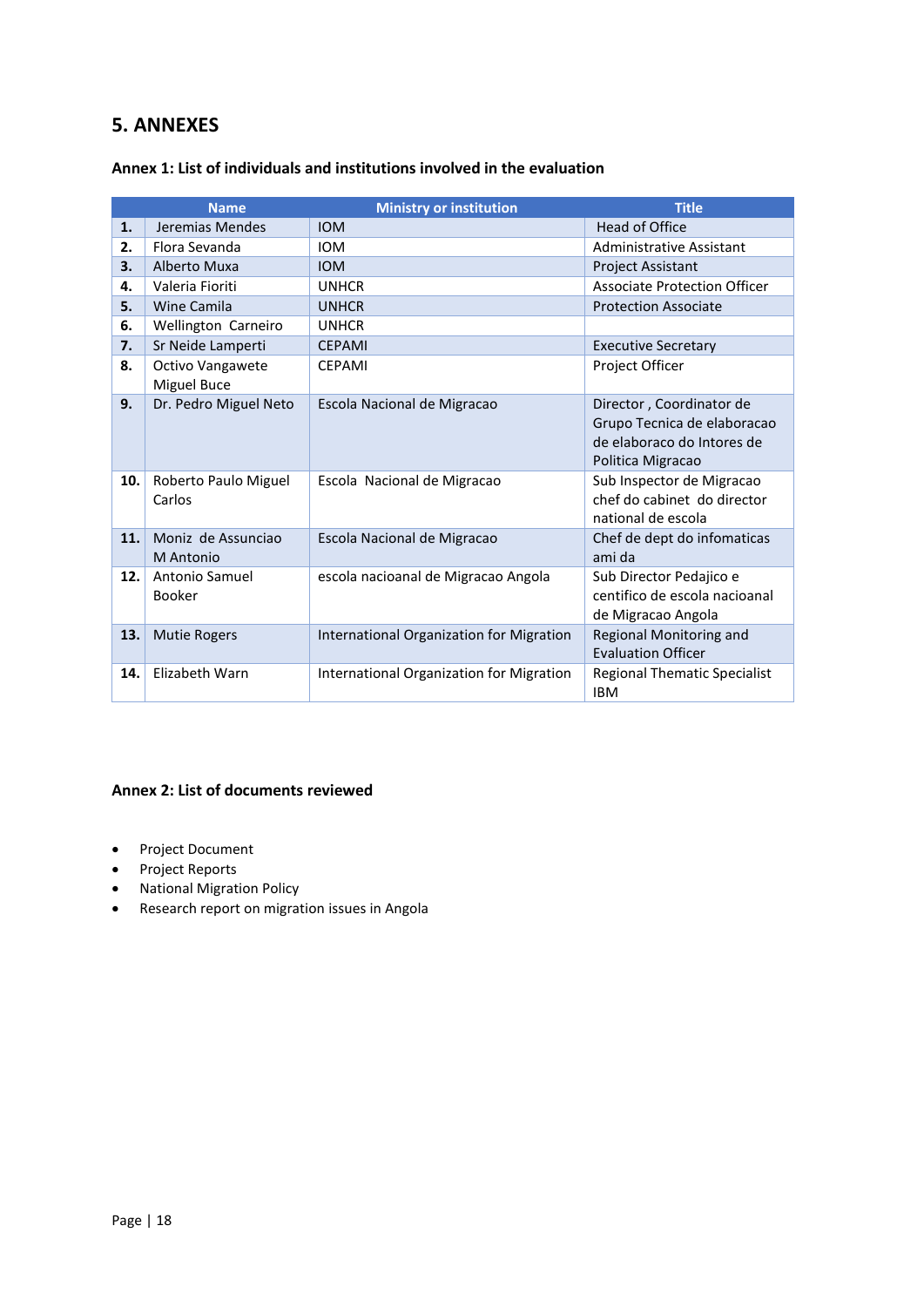## <span id="page-17-0"></span>**5. ANNEXES**

|     | <b>Name</b>                     | <b>Ministry or institution</b>           | <b>Title</b>                                                                                               |
|-----|---------------------------------|------------------------------------------|------------------------------------------------------------------------------------------------------------|
| 1.  | Jeremias Mendes                 | <b>IOM</b>                               | <b>Head of Office</b>                                                                                      |
| 2.  | Flora Sevanda                   | <b>IOM</b>                               | Administrative Assistant                                                                                   |
| 3.  | Alberto Muxa                    | <b>IOM</b>                               | <b>Project Assistant</b>                                                                                   |
| 4.  | Valeria Fioriti                 | <b>UNHCR</b>                             | <b>Associate Protection Officer</b>                                                                        |
| 5.  | Wine Camila                     | <b>UNHCR</b>                             | <b>Protection Associate</b>                                                                                |
| 6.  | Wellington Carneiro             | <b>UNHCR</b>                             |                                                                                                            |
| 7.  | Sr Neide Lamperti               | <b>CEPAMI</b>                            | <b>Executive Secretary</b>                                                                                 |
| 8.  | Octivo Vangawete<br>Miguel Buce | <b>CEPAMI</b>                            | Project Officer                                                                                            |
| 9.  | Dr. Pedro Miguel Neto           | Escola Nacional de Migracao              | Director, Coordinator de<br>Grupo Tecnica de elaboracao<br>de elaboraco do Intores de<br>Politica Migracao |
| 10. | Roberto Paulo Miguel<br>Carlos  | Escola Nacional de Migracao              | Sub Inspector de Migracao<br>chef do cabinet do director<br>national de escola                             |
| 11. | Moniz de Assunciao<br>M Antonio | Escola Nacional de Migracao              | Chef de dept do infomaticas<br>ami da                                                                      |
| 12. | Antonio Samuel<br><b>Booker</b> | escola nacioanal de Migracao Angola      | Sub Director Pedajico e<br>centifico de escola nacioanal<br>de Migracao Angola                             |
| 13. | <b>Mutie Rogers</b>             | International Organization for Migration | Regional Monitoring and<br><b>Evaluation Officer</b>                                                       |
| 14. | Elizabeth Warn                  | International Organization for Migration | <b>Regional Thematic Specialist</b><br><b>IBM</b>                                                          |

#### <span id="page-17-1"></span>**Annex 1: List of individuals and institutions involved in the evaluation**

#### <span id="page-17-2"></span>**Annex 2: List of documents reviewed**

- Project Document
- Project Reports
- National Migration Policy
- Research report on migration issues in Angola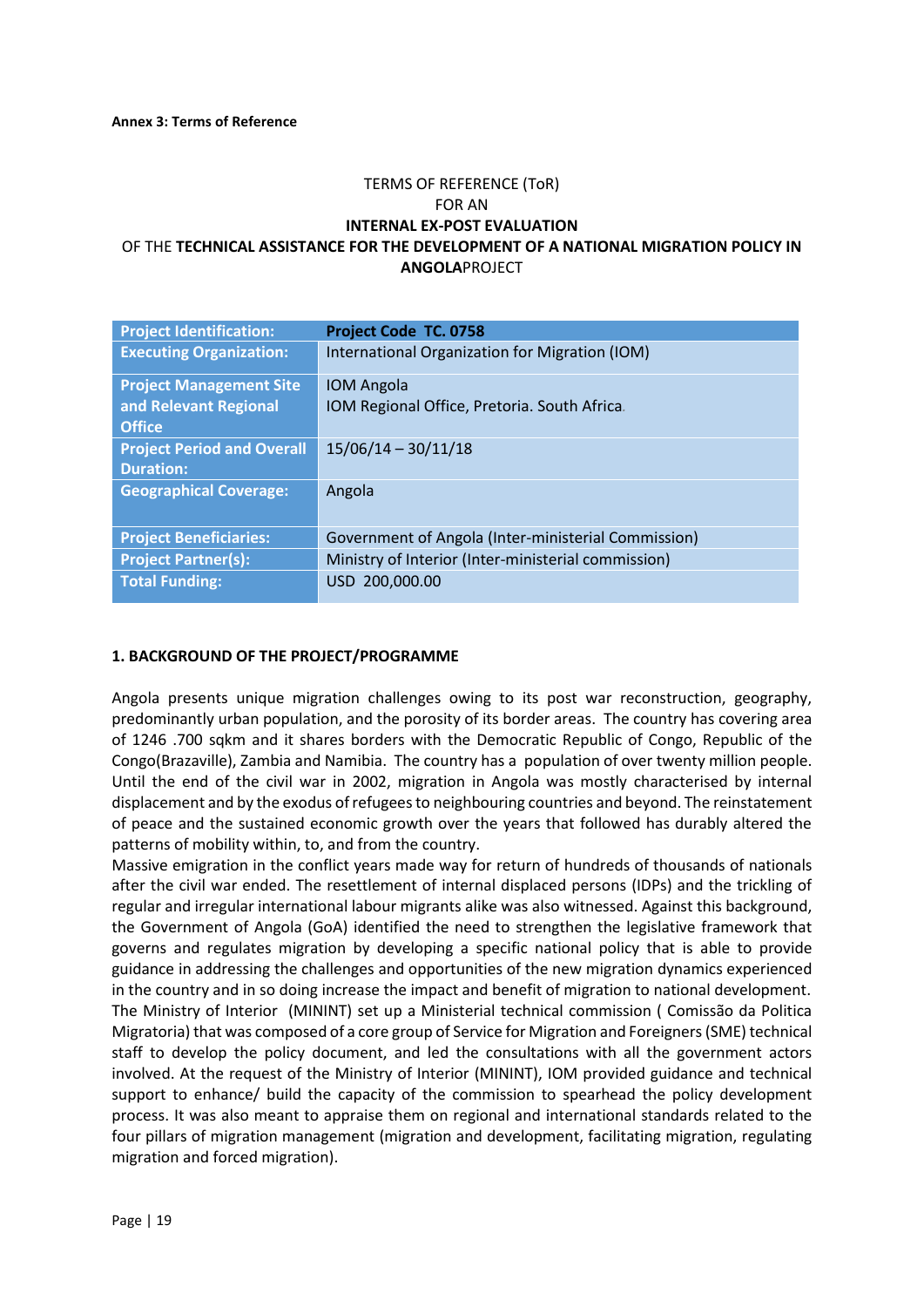#### TERMS OF REFERENCE (ToR) FOR AN **INTERNAL EX-POST EVALUATION** OF THE **TECHNICAL ASSISTANCE FOR THE DEVELOPMENT OF A NATIONAL MIGRATION POLICY IN ANGOLA**PROJECT

| <b>Project Identification:</b>                                           | Project Code TC. 0758                                             |
|--------------------------------------------------------------------------|-------------------------------------------------------------------|
| <b>Executing Organization:</b>                                           | International Organization for Migration (IOM)                    |
| <b>Project Management Site</b><br>and Relevant Regional<br><b>Office</b> | <b>IOM Angola</b><br>IOM Regional Office, Pretoria. South Africa. |
| <b>Project Period and Overall</b><br><b>Duration:</b>                    | $15/06/14 - 30/11/18$                                             |
| <b>Geographical Coverage:</b>                                            | Angola                                                            |
| <b>Project Beneficiaries:</b>                                            | Government of Angola (Inter-ministerial Commission)               |
| <b>Project Partner(s):</b>                                               | Ministry of Interior (Inter-ministerial commission)               |
| <b>Total Funding:</b>                                                    | USD 200,000.00                                                    |

#### **1. BACKGROUND OF THE PROJECT/PROGRAMME**

Angola presents unique migration challenges owing to its post war reconstruction, geography, predominantly urban population, and the porosity of its border areas. The country has covering area of 1246 .700 sqkm and it shares borders with the Democratic Republic of Congo, Republic of the Congo(Brazaville), Zambia and Namibia. The country has a population of over twenty million people. Until the end of the civil war in 2002, migration in Angola was mostly characterised by internal displacement and by the exodus of refugees to neighbouring countries and beyond. The reinstatement of peace and the sustained economic growth over the years that followed has durably altered the patterns of mobility within, to, and from the country.

Massive emigration in the conflict years made way for return of hundreds of thousands of nationals after the civil war ended. The resettlement of internal displaced persons (IDPs) and the trickling of regular and irregular international labour migrants alike was also witnessed. Against this background, the Government of Angola (GoA) identified the need to strengthen the legislative framework that governs and regulates migration by developing a specific national policy that is able to provide guidance in addressing the challenges and opportunities of the new migration dynamics experienced in the country and in so doing increase the impact and benefit of migration to national development. The Ministry of Interior (MININT) set up a Ministerial technical commission ( Comissão da Politica Migratoria) that was composed of a core group of Service for Migration and Foreigners (SME) technical staff to develop the policy document, and led the consultations with all the government actors involved. At the request of the Ministry of Interior (MININT), IOM provided guidance and technical support to enhance/ build the capacity of the commission to spearhead the policy development process. It was also meant to appraise them on regional and international standards related to the four pillars of migration management (migration and development, facilitating migration, regulating migration and forced migration).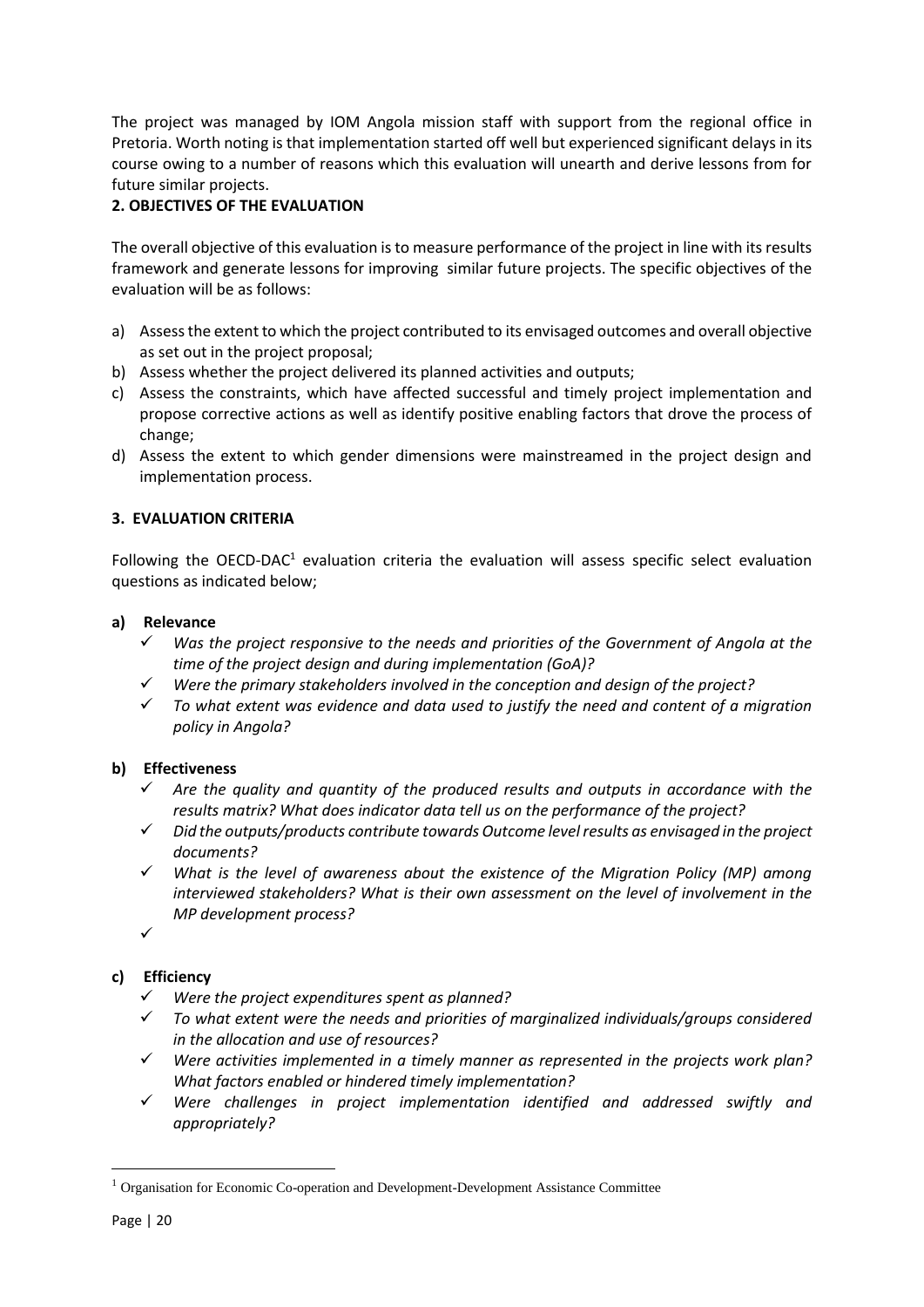The project was managed by IOM Angola mission staff with support from the regional office in Pretoria. Worth noting is that implementation started off well but experienced significant delays in its course owing to a number of reasons which this evaluation will unearth and derive lessons from for future similar projects.

#### **2. OBJECTIVES OF THE EVALUATION**

The overall objective of this evaluation is to measure performance of the project in line with its results framework and generate lessons for improving similar future projects. The specific objectives of the evaluation will be as follows:

- a) Assess the extent to which the project contributed to its envisaged outcomes and overall objective as set out in the project proposal;
- b) Assess whether the project delivered its planned activities and outputs;
- c) Assess the constraints, which have affected successful and timely project implementation and propose corrective actions as well as identify positive enabling factors that drove the process of change;
- d) Assess the extent to which gender dimensions were mainstreamed in the project design and implementation process.

#### **3. EVALUATION CRITERIA**

Following the OECD-DAC<sup>1</sup> evaluation criteria the evaluation will assess specific select evaluation questions as indicated below;

#### **a) Relevance**

- *Was the project responsive to the needs and priorities of the Government of Angola at the time of the project design and during implementation (GoA)?*
- *Were the primary stakeholders involved in the conception and design of the project?*
- ✓ *To what extent was evidence and data used to justify the need and content of a migration policy in Angola?*

#### **b) Effectiveness**

- ✓ *Are the quality and quantity of the produced results and outputs in accordance with the results matrix? What does indicator data tell us on the performance of the project?*
- ✓ *Did the outputs/products contribute towards Outcome levelresults as envisaged in the project documents?*
- ✓ *What is the level of awareness about the existence of the Migration Policy (MP) among interviewed stakeholders? What is their own assessment on the level of involvement in the MP development process?*

✓

#### **c) Efficiency**

- *Were the project expenditures spent as planned?*
- ✓ *To what extent were the needs and priorities of marginalized individuals/groups considered in the allocation and use of resources?*
- ✓ *Were activities implemented in a timely manner as represented in the projects work plan? What factors enabled or hindered timely implementation?*
- ✓ *Were challenges in project implementation identified and addressed swiftly and appropriately?*

<sup>1</sup> Organisation for Economic Co-operation and Development-Development Assistance Committee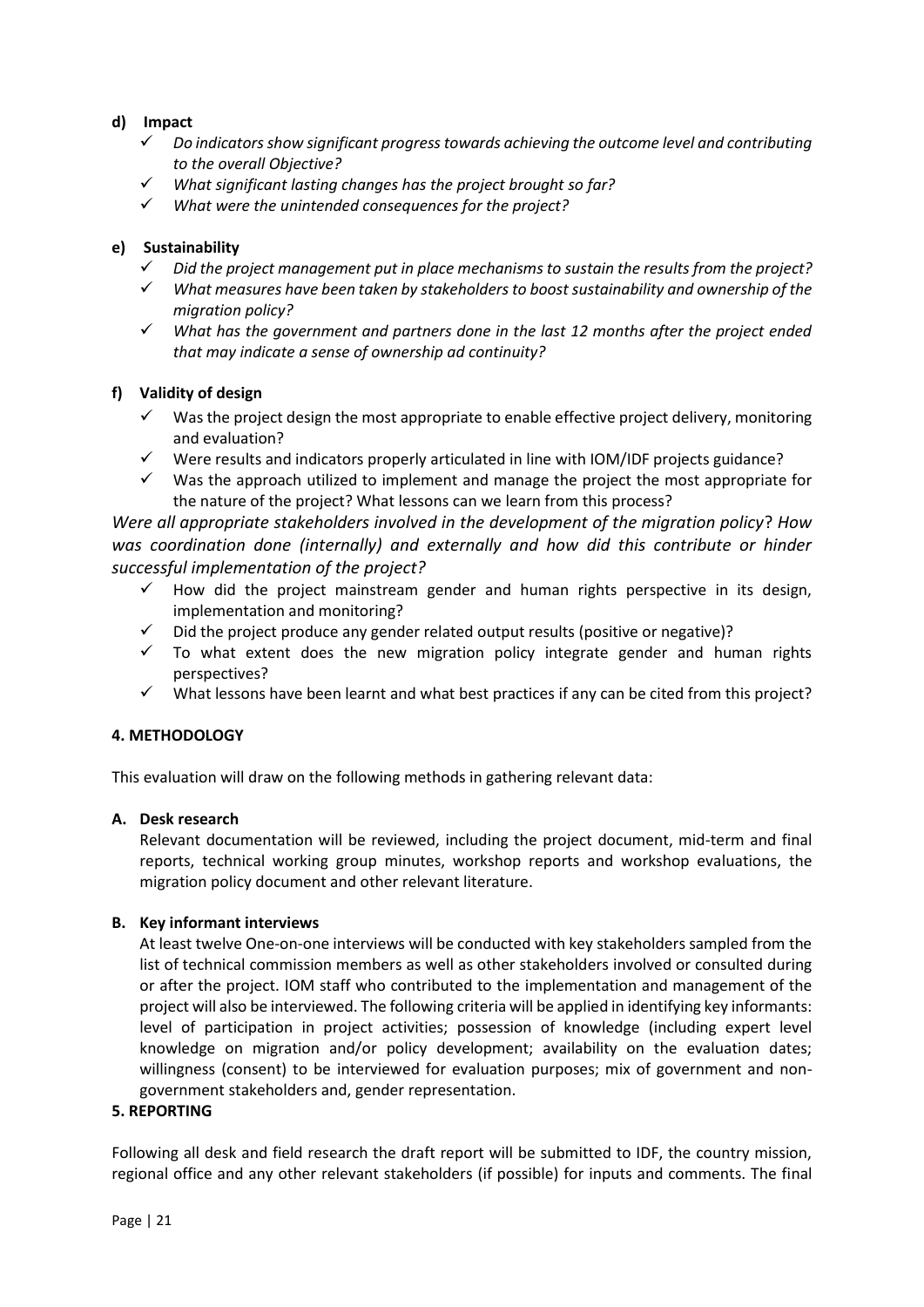#### **d) Impact**

- ✓ *Do indicators show significant progress towards achieving the outcome level and contributing to the overall Objective?*
- ✓ *What significant lasting changes has the project brought so far?*
- ✓ *What were the unintended consequences for the project?*

#### **e) Sustainability**

- ✓ *Did the project management put in place mechanisms to sustain the results from the project?*
- ✓ *What measures have been taken by stakeholders to boost sustainability and ownership of the migration policy?*
- ✓ *What has the government and partners done in the last 12 months after the project ended that may indicate a sense of ownership ad continuity?*

#### **f) Validity of design**

- $\checkmark$  Was the project design the most appropriate to enable effective project delivery, monitoring and evaluation?
- $\checkmark$  Were results and indicators properly articulated in line with IOM/IDF projects guidance?
- $\checkmark$  Was the approach utilized to implement and manage the project the most appropriate for the nature of the project? What lessons can we learn from this process?

*Were all appropriate stakeholders involved in the development of the migration policy*? *How was coordination done (internally) and externally and how did this contribute or hinder successful implementation of the project?* 

- How did the project mainstream gender and human rights perspective in its design, implementation and monitoring?
- Did the project produce any gender related output results (positive or negative)?
- $\checkmark$  To what extent does the new migration policy integrate gender and human rights perspectives?
- $\checkmark$  What lessons have been learnt and what best practices if any can be cited from this project?

#### **4. METHODOLOGY**

This evaluation will draw on the following methods in gathering relevant data:

#### **A. Desk research**

Relevant documentation will be reviewed, including the project document, mid-term and final reports, technical working group minutes, workshop reports and workshop evaluations, the migration policy document and other relevant literature.

#### **B. Key informant interviews**

At least twelve One-on-one interviews will be conducted with key stakeholders sampled from the list of technical commission members as well as other stakeholders involved or consulted during or after the project. IOM staff who contributed to the implementation and management of the project will also be interviewed. The following criteria will be applied in identifying key informants: level of participation in project activities; possession of knowledge (including expert level knowledge on migration and/or policy development; availability on the evaluation dates; willingness (consent) to be interviewed for evaluation purposes; mix of government and nongovernment stakeholders and, gender representation.

#### **5. REPORTING**

Following all desk and field research the draft report will be submitted to IDF, the country mission, regional office and any other relevant stakeholders (if possible) for inputs and comments. The final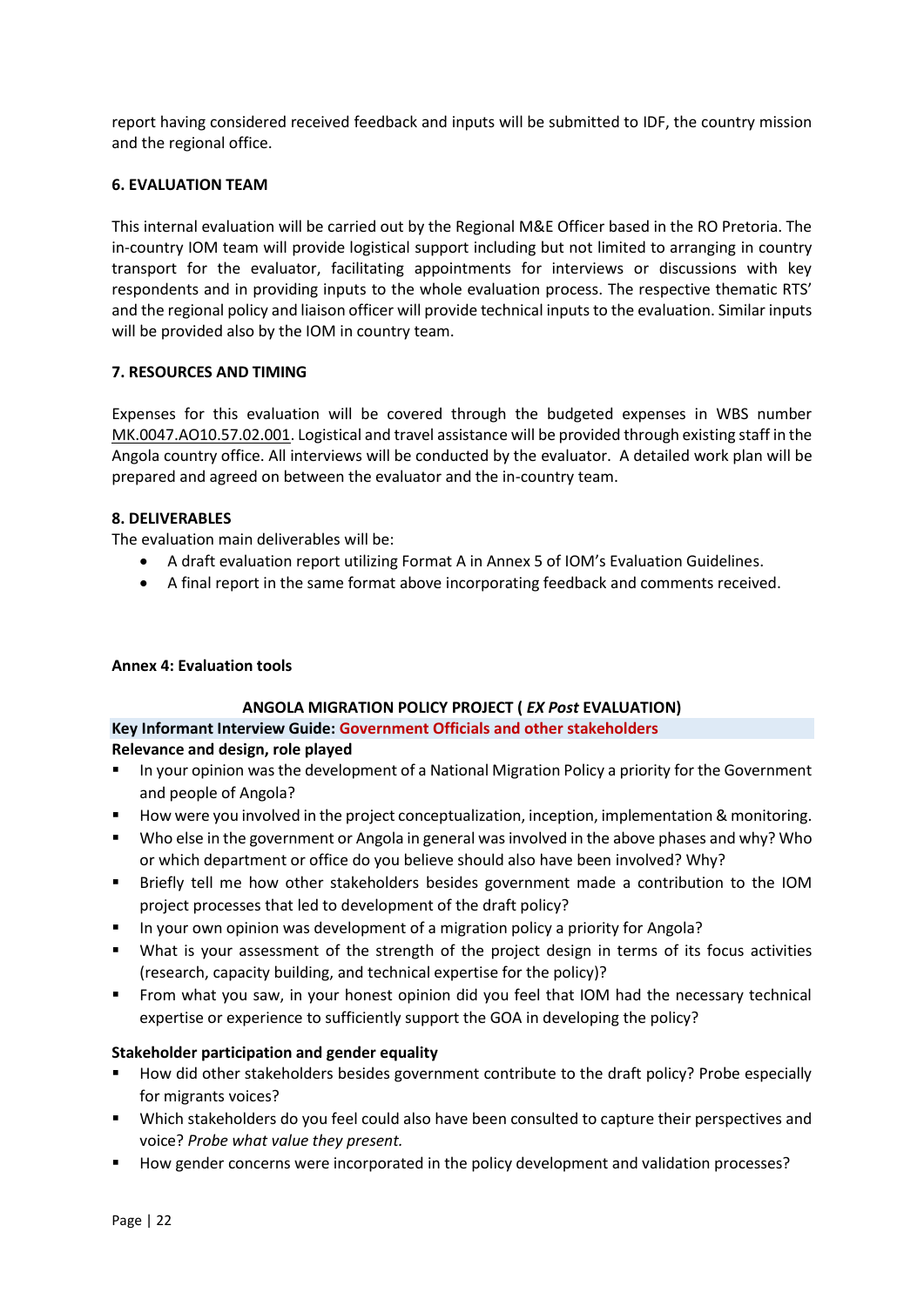report having considered received feedback and inputs will be submitted to IDF, the country mission and the regional office.

#### **6. EVALUATION TEAM**

This internal evaluation will be carried out by the Regional M&E Officer based in the RO Pretoria. The in-country IOM team will provide logistical support including but not limited to arranging in country transport for the evaluator, facilitating appointments for interviews or discussions with key respondents and in providing inputs to the whole evaluation process. The respective thematic RTS' and the regional policy and liaison officer will provide technical inputs to the evaluation. Similar inputs will be provided also by the IOM in country team.

#### **7. RESOURCES AND TIMING**

Expenses for this evaluation will be covered through the budgeted expenses in WBS number MK.0047.AO10.57.02.001. Logistical and travel assistance will be provided through existing staff in the Angola country office. All interviews will be conducted by the evaluator. A detailed work plan will be prepared and agreed on between the evaluator and the in-country team.

#### **8. DELIVERABLES**

The evaluation main deliverables will be:

- A draft evaluation report utilizing Format A in Annex 5 of IOM's Evaluation Guidelines.
- A final report in the same format above incorporating feedback and comments received.

#### **Annex 4: Evaluation tools**

#### **ANGOLA MIGRATION POLICY PROJECT (** *EX Post* **EVALUATION)**

#### **Key Informant Interview Guide: Government Officials and other stakeholders**

#### **Relevance and design, role played**

- In your opinion was the development of a National Migration Policy a priority for the Government and people of Angola?
- How were you involved in the project conceptualization, inception, implementation & monitoring.
- Who else in the government or Angola in general was involved in the above phases and why? Who or which department or office do you believe should also have been involved? Why?
- Briefly tell me how other stakeholders besides government made a contribution to the IOM project processes that led to development of the draft policy?
- **■** In your own opinion was development of a migration policy a priority for Angola?
- What is your assessment of the strength of the project design in terms of its focus activities (research, capacity building, and technical expertise for the policy)?
- From what you saw, in your honest opinion did you feel that IOM had the necessary technical expertise or experience to sufficiently support the GOA in developing the policy?

#### **Stakeholder participation and gender equality**

- How did other stakeholders besides government contribute to the draft policy? Probe especially for migrants voices?
- Which stakeholders do you feel could also have been consulted to capture their perspectives and voice? *Probe what value they present.*
- How gender concerns were incorporated in the policy development and validation processes?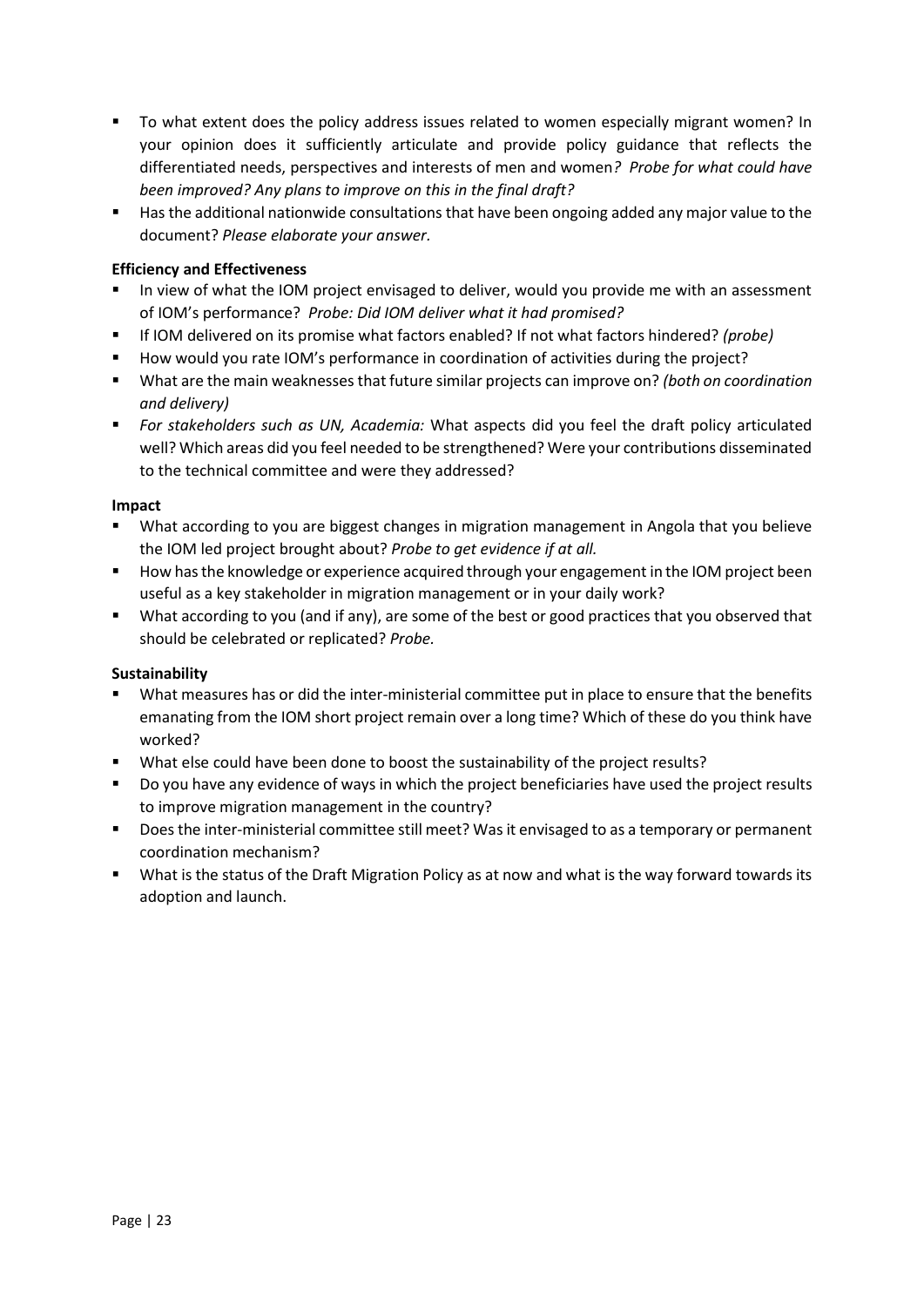- To what extent does the policy address issues related to women especially migrant women? In your opinion does it sufficiently articulate and provide policy guidance that reflects the differentiated needs, perspectives and interests of men and women*? Probe for what could have been improved? Any plans to improve on this in the final draft?*
- Has the additional nationwide consultations that have been ongoing added any major value to the document? *Please elaborate your answer.*

#### **Efficiency and Effectiveness**

- In view of what the IOM project envisaged to deliver, would you provide me with an assessment of IOM's performance? *Probe: Did IOM deliver what it had promised?*
- If IOM delivered on its promise what factors enabled? If not what factors hindered? *(probe)*
- How would you rate IOM's performance in coordination of activities during the project?
- What are the main weaknesses that future similar projects can improve on? *(both on coordination and delivery)*
- *For stakeholders such as UN, Academia:* What aspects did you feel the draft policy articulated well? Which areas did you feel needed to be strengthened? Were your contributions disseminated to the technical committee and were they addressed?

#### **Impact**

- What according to you are biggest changes in migration management in Angola that you believe the IOM led project brought about? *Probe to get evidence if at all.*
- How has the knowledge or experience acquired through your engagement in the IOM project been useful as a key stakeholder in migration management or in your daily work?
- What according to you (and if any), are some of the best or good practices that you observed that should be celebrated or replicated? *Probe.*

#### **Sustainability**

- What measures has or did the inter-ministerial committee put in place to ensure that the benefits emanating from the IOM short project remain over a long time? Which of these do you think have worked?
- What else could have been done to boost the sustainability of the project results?
- Do you have any evidence of ways in which the project beneficiaries have used the project results to improve migration management in the country?
- Does the inter-ministerial committee still meet? Was it envisaged to as a temporary or permanent coordination mechanism?
- What is the status of the Draft Migration Policy as at now and what is the way forward towards its adoption and launch.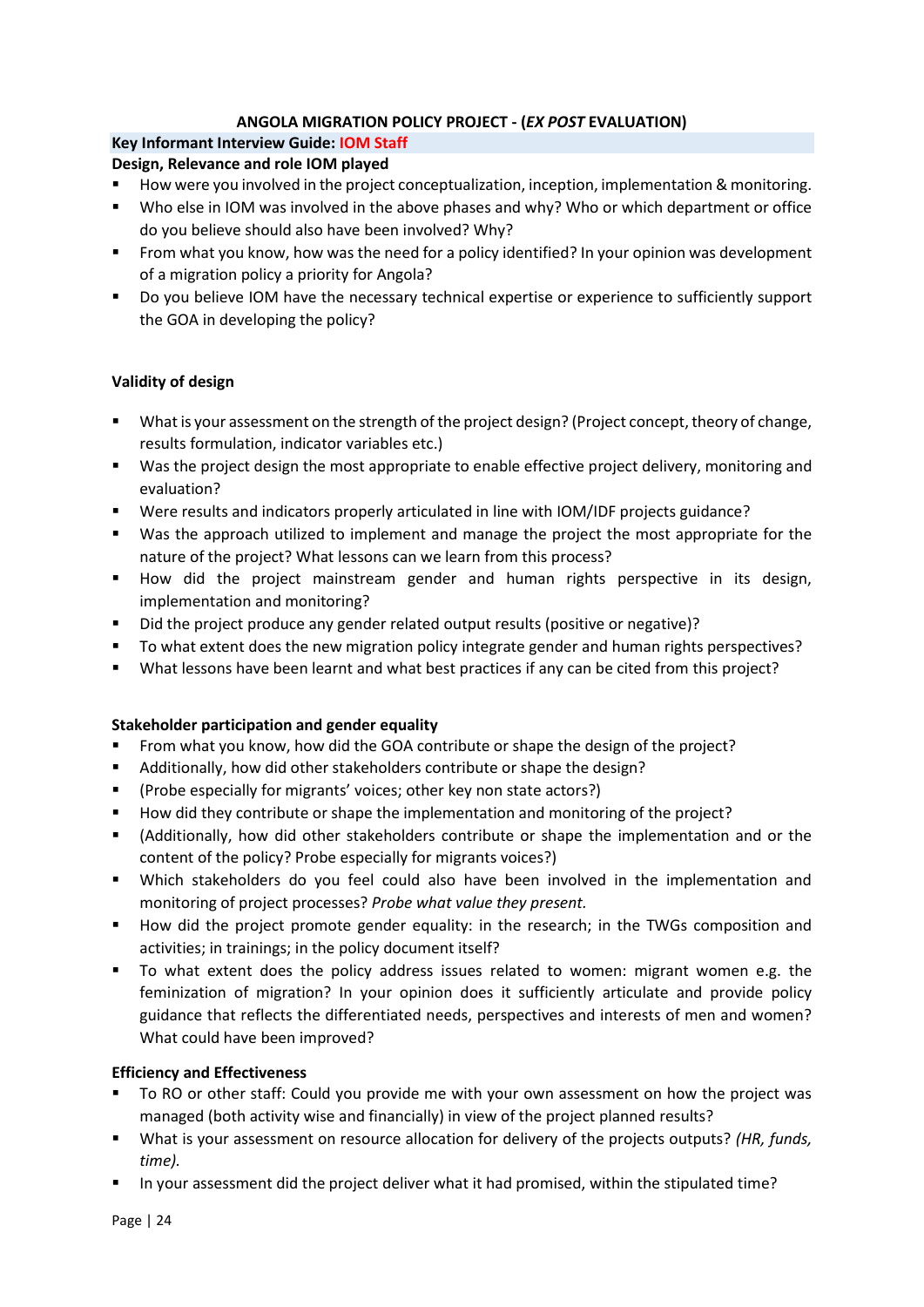#### **ANGOLA MIGRATION POLICY PROJECT - (***EX POST* **EVALUATION)**

#### **Key Informant Interview Guide: IOM Staff**

#### **Design, Relevance and role IOM played**

- How were you involved in the project conceptualization, inception, implementation & monitoring.
- Who else in IOM was involved in the above phases and why? Who or which department or office do you believe should also have been involved? Why?
- From what you know, how was the need for a policy identified? In your opinion was development of a migration policy a priority for Angola?
- Do you believe IOM have the necessary technical expertise or experience to sufficiently support the GOA in developing the policy?

#### **Validity of design**

- What is your assessment on the strength of the project design? (Project concept, theory of change, results formulation, indicator variables etc.)
- Was the project design the most appropriate to enable effective project delivery, monitoring and evaluation?
- Were results and indicators properly articulated in line with IOM/IDF projects guidance?
- Was the approach utilized to implement and manage the project the most appropriate for the nature of the project? What lessons can we learn from this process?
- How did the project mainstream gender and human rights perspective in its design, implementation and monitoring?
- Did the project produce any gender related output results (positive or negative)?
- To what extent does the new migration policy integrate gender and human rights perspectives?
- What lessons have been learnt and what best practices if any can be cited from this project?

#### **Stakeholder participation and gender equality**

- From what you know, how did the GOA contribute or shape the design of the project?
- Additionally, how did other stakeholders contribute or shape the design?
- (Probe especially for migrants' voices; other key non state actors?)
- How did they contribute or shape the implementation and monitoring of the project?
- (Additionally, how did other stakeholders contribute or shape the implementation and or the content of the policy? Probe especially for migrants voices?)
- Which stakeholders do you feel could also have been involved in the implementation and monitoring of project processes? *Probe what value they present.*
- How did the project promote gender equality: in the research; in the TWGs composition and activities; in trainings; in the policy document itself?
- To what extent does the policy address issues related to women: migrant women e.g. the feminization of migration? In your opinion does it sufficiently articulate and provide policy guidance that reflects the differentiated needs, perspectives and interests of men and women? What could have been improved?

#### **Efficiency and Effectiveness**

- To RO or other staff: Could you provide me with your own assessment on how the project was managed (both activity wise and financially) in view of the project planned results?
- What is your assessment on resource allocation for delivery of the projects outputs? *(HR, funds, time).*
- In your assessment did the project deliver what it had promised, within the stipulated time?